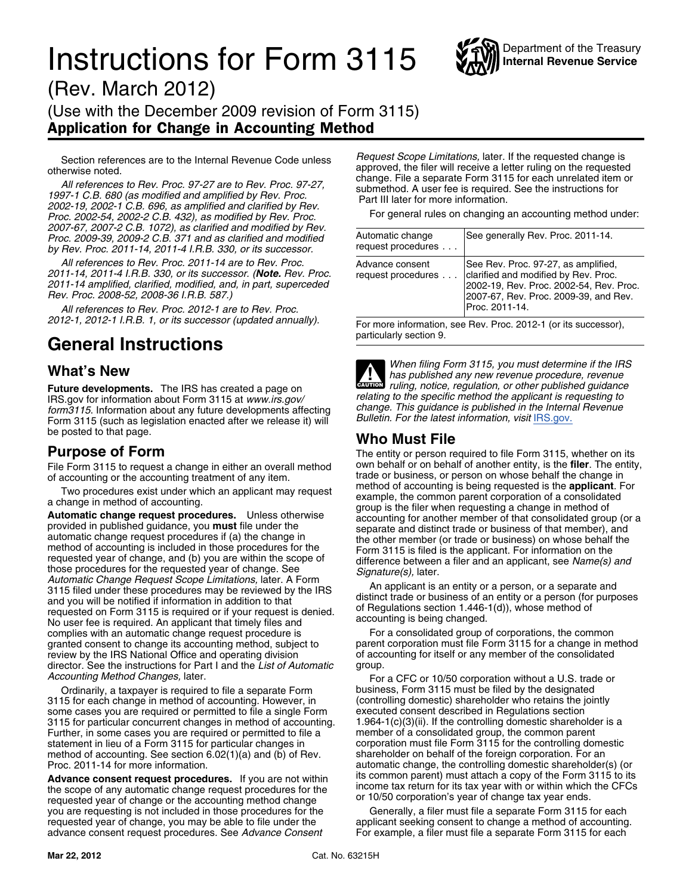## **Instructions for Form 3115** WAY Internal Revenue Service



(Rev. March 2012) (Use with the December 2009 revision of Form 3115) Application for Change in Accounting Method

otherwise noted.<br>
All references to Rev. Proc. 97-27 are to Rev. Proc. 97-27,<br>
1997-1 C.B. 680 (as modified and amplified by Rev. Proc. 97-27,<br>
1997-1 C.B. 680 (as modified and amplified by Rev. Proc.<br>
2002-19, 2002-1 C.B. *Proc. 2002-54, 2002-2 C.B. 432), as modified by Rev. Proc. 2007-67, 2007-2 C.B. 1072), as clarified and modified by Rev. Proc. 2009-39, 2009-2 C.B. 371 and as clarified and modified by Rev. Proc. 2011-14, 2011-4 I.R.B. 330, or its successor.* 

All references to Rev. Proc. 2011-14 are to Rev. Proc. 2011-14, 2011-4 I.R.B. 330, or its successor. (**Note.** Rev. Proc. 2011-14 amplified, clarified, modified, and, in part, superceded *Rev. Proc. 2008-52, 2008-36 I.R.B. 587.)* 

All references to Rev. Proc. 2012-1 are to Rev. Proc. *2012-1, 2012-1 I.R.B. 1, or its successor (updated annually).* For more information, see Rev. Proc. 2012-1 (or its successor),

## General Instructions **General** Instructions

**Future developments.** The IRS has created a page on<br>IRS.gov for information about Form 3115 at www.irs.gov/<br>form 3115. Information about any future developments affecting<br>Form 3115 (such as legislation enacted after we re Form 3115 (such as legislation enacted after we release it) will be posted to that page.

File Form 3115 to request a change in either an overall method own behalf or on behalf of another entity, is the **filer**. The entity of accounting or the accounting treatment of any item.

Automatic Change Request Scope Limitations, later. A Form<br>
and you will be notified information in addition to that<br>
The IRS<br>
and you will be notified if information in addition to that<br>
requested on Form 3115 is required complies with an automatic change request procedure is For a consolidated group of corporations, the common<br>granted consent to change its accounting method, subject to parent corporation must file Form 3115 for a change in granted consent to change its accounting method, subject to review by the IRS National Office and operating division of accounting for itself or any member of the consolidated director. See the instructions for Part I and the List of Automatic group. director. See the instructions for Part I and the List of Automatic

Ordinarily, a taxpayer is required to file a separate Form business, Form 3115 must be filed by the designated<br>15 for each change in method of accounting. However, in (controlling domestic) shareholder who retains the join 3115 for each change in method of accounting. However, in (controlling domestic) shareholder who retains the j<br>some cases you are required or permitted to file a single Form executed consent described in Regulations sectio some cases you are required or permitted to file a single Form executed consent described in Regulations section<br>3115 for particular concurrent changes in method of accounting. 1.964-1(c)(3)(ii). If the controlling domesti 3115 for particular concurrent changes in method of accounting. 1.964-1(c)(3)(ii). If the controlling domestic shareholder Further, in some cases you are required or permitted to file a member of a consolidated group, the Further, in some cases you are required or permitted to file a member of a consolidated group, the common parent<br>statement in lieu of a Form 3115 for particular changes in corporation must file Form 3115 for the controllin statement in lieu of a Form 3115 for particular changes in corporation must file Form 3115 for the controlling dome<br>method of accounting. See section 6.02(1)(a) and (b) of Rev. shareholder on behalf of the foreign corporat method of accounting. See section 6.02(1)(a) and (b) of Rev. Proc. 2011-14 for more information.

**Advance consent request procedures.** If you are not within the scope of any automatic change request procedures for the income tax return for its tax year with or within which the CFCs requested year of change or the acco you are requesting is not included in those procedures for the requested year of change, you may be able to file under the applicant seeking consent to change a method of accounting.<br>advance consent request procedures. See Advance Consent For example, a filer must file a separate Form advance consent request procedures. See Advance Consent

Section references are to the Internal Revenue Code unless *Request Scope Limitations,* later. If the requested change is

| Automatic change<br>request procedures | See generally Rev. Proc. 2011-14.                                                                                                                                                 |
|----------------------------------------|-----------------------------------------------------------------------------------------------------------------------------------------------------------------------------------|
| Advance consent<br>request procedures  | See Rev. Proc. 97-27, as amplified,<br>clarified and modified by Rev. Proc.<br>2002-19, Rev. Proc. 2002-54, Rev. Proc.<br>2007-67, Rev. Proc. 2009-39, and Rev.<br>Proc. 2011-14. |

**What's New** *When filing Form 3115, you must determine if the IRS**has published any new revenue procedure, revenue***<br>
<b>What's New CAUTION** *ruling, notice, regulation, or other published guidance* **!**

### **Who Must File**

**Purpose of Form**<br>File Form 3115 to request a change in either an overall method own behalf or on behalf of another entity, is the filer. The entity, of accounting or the accounting treatment of any item.<br>trade or business, or person on whose behalf the change in<br>This proportion of any item of accounting is being requested is the **applicant**. For Two procedures exist under which an applicant may request<br>a change in method of accounting.<br>**Automatic change request procedures.** Unless otherwise<br>provided in published guidance, you **must** file under the<br>automatic change

*Accounting Method Changes,* later.<br>Ordinarily, a taxpayer is required to file a separate Form business, Form 3115 must be filed by the designated automatic change, the controlling domestic shareholder(s) (or its common parent) must attach a copy of the Form 3115 to its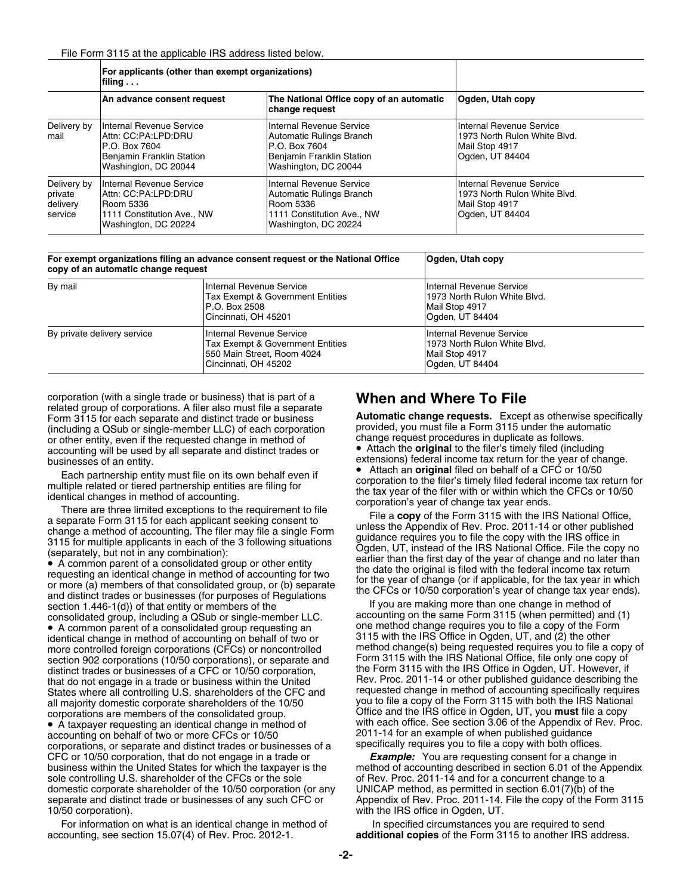|                                               | For applicants (other than exempt organizations)<br>filing $\ldots$                                                    |                                                                                                                             |                                                                                               |  |
|-----------------------------------------------|------------------------------------------------------------------------------------------------------------------------|-----------------------------------------------------------------------------------------------------------------------------|-----------------------------------------------------------------------------------------------|--|
|                                               | An advance consent request                                                                                             | The National Office copy of an automatic<br>change reguest                                                                  | Oqden, Utah copy                                                                              |  |
| Delivery by<br>mail                           | Internal Revenue Service<br>Attn: CC:PA:LPD:DRU<br>IP.O. Box 7604<br>Benjamin Franklin Station<br>Washington, DC 20044 | Internal Revenue Service<br>Automatic Rulings Branch<br>IP.O. Box 7604<br>Benjamin Franklin Station<br>Washington, DC 20044 | Internal Revenue Service<br>1973 North Rulon White Blvd.<br>Mail Stop 4917<br>Ogden, UT 84404 |  |
| Delivery by<br>private<br>delivery<br>service | Internal Revenue Service<br>IAttn: CC:PA:LPD:DRU<br>Room 5336<br>1111 Constitution Ave., NW<br>Washington, DC 20224    | Internal Revenue Service<br>Automatic Rulings Branch<br>Room 5336<br>1111 Constitution Ave., NW<br>Washington, DC 20224     | Internal Revenue Service<br>1973 North Rulon White Blvd.<br>Mail Stop 4917<br>Ogden, UT 84404 |  |

| For exempt organizations filing an advance consent request or the National Office<br>copy of an automatic change request |                                                                                                                    | Oqden, Utah copy                                                                              |  |
|--------------------------------------------------------------------------------------------------------------------------|--------------------------------------------------------------------------------------------------------------------|-----------------------------------------------------------------------------------------------|--|
| By mail                                                                                                                  | Internal Revenue Service<br>Tax Exempt & Government Entities<br>P.O. Box 2508<br>Cincinnati. OH 45201              | Internal Revenue Service<br>1973 North Rulon White Blvd.<br>Mail Stop 4917<br>Oqden, UT 84404 |  |
| By private delivery service                                                                                              | Internal Revenue Service<br>Tax Exempt & Government Entities<br>550 Main Street, Room 4024<br>Cincinnati, OH 45202 | Internal Revenue Service<br>1973 North Rulon White Blvd.<br>Mail Stop 4917<br>Ogden, UT 84404 |  |

corporation (with a single trade or business) that is part of a **When and Where To File** related group of corporations. A filer also must file a separate Form 3115 for each separate and distinct trade or business **Automatic change requests.** Except as otherwise specifically (including a QSub or single-member LLC) of each corporation exprovided, you must file a Form 3115 under the auto<br>or other entity even if the requested change in method of expansional change request procedures in duplicate or other entity, even if the requested change in method of change request procedures in duplicate as follows.<br>Accounting will be used by all separate and distinct trades or **Change Tenach the original** to the filer's timel accounting will be used by all separate and distinct trades or

(separately, but not in any combination).<br>
• A common parent of a consolidated group or other entity<br>
or more (a) members of that consolidated group, or (b) separate<br>
or more (a) members of that consolidated group, or (b)

consolidated group, including a QSub or single-member LLC. • A common parent of a consolidated group requesting an identical change in method of accounting on behalf of two or section 902 corporations (10/50 corporations), or separate and Form 3115 with the IRS National Office, file only one copy of<br>distinct trades or businesses of a CFC or 10/50 corporation. The Form 3115 with the IRS Office in distinct trades or businesses of a CFC or 10/50 corporation, the Form 3115 with the IRS Office in Ogden, UT. However, if<br>that do not engage in a trade or business within the United Rev. Proc. 2011-14 or other published gui that do not engage in a trade or business within the United Rev. Proc. 2011-14 or other published guidance describing the<br>States where all controlling U.S. shareholders of the CFC and requested change in method of accounti States where all controlling U.S. shareholders of the CFC and requested change in method of accounting specifically require<br>all majority domestic corporate shareholders of the 10/50 you to file a copy of the Form 3115 with all majority domestic corporate shareholders of the 10/50

accounting on behalf of two or more CFCs or 10/50 2011-14 for an example of when published guidance<br>corporations, or separate and distinct trades or businesses of a specifically requires you to file a copy with both office corporations, or separate and distinct trades or businesses of a CFC or 10/50 corporation, that do not engage in a trade or CFC or 10/50 corporation, that do not engage in a trade or **Example:** You are requesting consent for a change in business within the United States for which the taxpayer is the method of accounting described in section 6.0 sole controlling U.S. shareholder of the CFCs or the sole of Rev. Proc. 2011-14 and for a concurrent change to a domestic corporate shareholder of the 10/50 corporation (or any UNICAP method, as permitted in section 6.01(7)(b) of the<br>separate and distinct trade or businesses of any such CFC or Appendix of Rev. Proc. 2011-14. File the 10/50 corporation). with the IRS office in Ogden, UT.

For information on what is an identical change in method of last pecified circumstances you are required to send<br>additional copies of the Form 3115 to another IRS add

businesses of an entity.<br>
Extensions) federal income tax return for the year of change.<br>
For the partnership on the wat file on its own behelf over if

Each partnership entity must file on its own behalf even if<br>
multiple related or tiered partnership entities are filing for<br>
identical changes in method of accounting.<br>
There are three limited exceptions to the requirement

section 1.446-1(d)) of that entity or members of the If you are making more than one change in method of<br>Consolidated group, including a OSub or single-member LLC. accounting on the same Form 3115 (when permitted) and (1) one method change requires you to file a copy of the Form 3115 with the IRS Office in Ogden, UT, and (2) the other more controlled foreign corporations (CFCs) or noncontrolled method change(s) being requested requires you to file a copy of<br>section 902 corporations (10/50 corporations), or separate and Form 3115 with the IRS National Of corporations are members of the consolidated group. Office and the IRS office in Ogden, UT, you **must** file a copy • A taxpayer requesting an identical change in method of with each office. See section 3.06 of the Appendix of Rev. Proc.

> method of accounting described in section 6.01 of the Appendix Appendix of Rev. Proc. 2011-14. File the copy of the Form 3115

additional copies of the Form 3115 to another IRS address.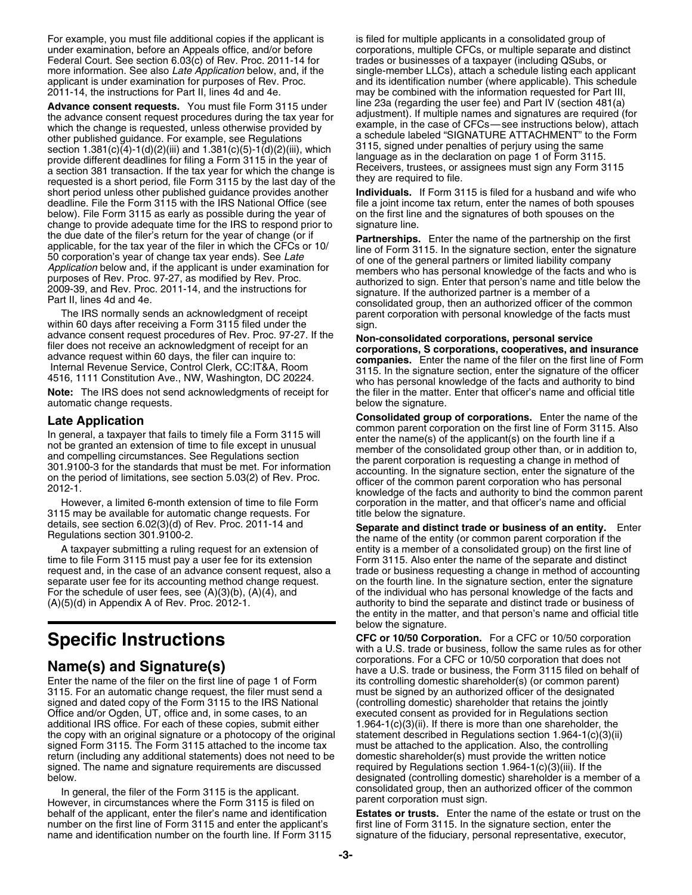For example, you must file additional copies if the applicant is is filed for multiple applicants in a consolidated group of under examination, before an Appeals office, and/or before corporations, multiple CFCs, or multiple separate and distinct<br>Federal Court. See section 6.03(c) of Rev. Proc. 2011-14 for trades or businesses of a taxpayer (inc Federal Court. See section 6.03(c) of Rev. Proc. 2011-14 for

the advance consent request procedures during the tax year for adjustment). If multiple names and signatures are required (for<br>which the change is requested unless otherwise provided by example, in the case of CFCs—see ins which the change is requested, unless otherwise provided by other published guidance. For example, see Regulations a schedule labeled "SIGNATURE ATTACHMENT" to the Form<br>section 1.381(c)(4)-1(d)(2)(iii) and 1.381(c)(5)-1(d)(2)(iii) which 3115, signed under penalties of perjury using section 1.381(c)(4)-1(d)(2)(iii) and 1.381(c)(5)-1(d)(2)(iii), which<br>provide different deadlines for filing a Form 3115 in the year of<br>a section 381 transaction. If the tax year for which the change is<br>requested is a shor short period unless other published guidance provides another **Individuals.** If Form 3115 is filed for a husband and wife who deadline. File the Form 3115 with the IRS National Office (see file a joint income tax return, e below). File Form 3115 as early as possible during the year of on the first line and the signatures of both spouses on the change to provide adequate time for the IRS to respond prior to signature line.<br>the due date of the filer's return for the year of change (or if

within 60 days after receiving a Form 3115 filed under the sign. advance consent request procedures of Rev. Proc. 97-27. If the<br>filer does not receive an acknowledgment of receipt for an<br>advance request within 60 days, the filer can inquire to:<br>Internal Revenue Service, Control Clerk, C Note: The IRS does not send acknowledgments of receipt for the filer in the matter. Enter that officer's name and official title automatic change requests. below the signature.

3115 may be available for automatic change requests. For

time to file Form 3115 must pay a user fee for its extension Form 3115. Also enter the name of the separate and distinct request and, in the case of an advance consent request, also a trade or business requesting a change in method of accounting separate user fee for its accounting method change request. on the fourth line. In the signature section, enter the signature For the schedule of user fees, see (A)(3)(b), (A)(4), and of the individual who has personal knowledge of the facts and<br>(A)(5)(d) in Appendix A of Rev. Proc. 2012-1. <br>authority to bind the separate and distinct trade or bu

Enter the name of the filer on the first line of page 1 of Form its controlling domestic shareholder(s) (or common parent) 3115. For an automatic change request, the filer must send a must be signed by an authorized officer of the designated signed and dated copy of the Form 3115 to the IRS National (controlling domestic) shareholder that reta Office and/or Ogden, UT, office and, in some cases, to an additional IRS office. For each of these copies, submit either 1.964-1(c)(3)(ii). If there is more than one shareholder, the the copy with an original signature or a photocopy of the original statement described in Regulations section 1.964-1(c)(3)(ii) signed Form 3115. The Form 3115 attached to the income tax must be attached to the application signed Form 3115. The Form 3115 attached to the income tax return (including any additional statements) does not need to be domestic shareholder(s) must provide the written notice signed. The name and signature requirements are discussed required by Regulations section 1.964-1(c)( signed. The name and signature requirements are discussed below. designated (controlling domestic) shareholder is a member of a

However, in circumstances where the Form 3115 is filed on number on the first line of Form 3115 and enter the applicant's first line of Form 3115. In the signature section, enter the name and identification number on the fourth line. If Form 3115 signature of the fiduciary, perso

more information. See also *Late Application* below, and, if the single-member LLCs), attach a schedule listing each applicant applicant is under examination for purposes of Rev. Proc. and its identification number (where applicable). This schedule<br>2011-14, the instructions for Part II, lines 4d and 4e. **http://www.maybe.combined with the informat** may be combined with the information requested for Part III, Advance consent requests. You must file Form 3115 under line 23a (regarding the user fee) and Part IV (section 481(a)<br>the advance consent request procedures during the tax year for adjustment). If multiple names and signat

file a joint income tax return, enter the names of both spouses

the due date of the filer's return for the year of change (or if<br>applicable, for the tax year of the filer in which the CFCs or 10/<br>50 corporation's year of change tax year ends). See *Late*<br>Application below and, if the a The IRS normally sends an acknowledgment of receipt parent corporation with personal knowledge of the facts must

**Late Application**<br>
In general, a taxpayer that fails to timely file a Form 3115 will<br>
not be granted an extension of time to file except in unusual<br>
and compelling circumstances. See Regulations section<br>
301.9100-3 for th However, a limited 6-month extension of time to file Form corporation in the matter, and that officer's name and official 15 may be available for automatic change requests. For tille below the signature.

details, see section 6.02(3)(d) of Rev. Proc. 2011-14 and **Separate and distinct trade or business of an entity.** Enter<br>Regulations section 301.9100-2.<br>A taxpayer submitting a ruling request for an extension of entity is a entity is a member of a consolidated group) on the first line of authority to bind the separate and distinct trade or business of the entity in the matter, and that person's name and official title below the signature.

**Specific Instructions CFC or 10/50 Corporation.** For a CFC or 10/50 corporation with a U.S. trade or business, follow the same rules as for other **Name(s) and Signature(s) Name(s) Name(s)** corporations. For a CFC or 10/50 corporation that does not have a U.S. trade or business, the Form 3115 filed on behalf of (controlling domestic) shareholder that retains the jointly executed consent as provided for in Regulations section In general, the filer of the Form 3115 is the applicant.<br>Waver in gircumstances where the Form 3115 is filed on **Integration** parent corporation must sign.

behalf of the applicant, enter the filer's name and identification **Estates or trusts.** Enter the name of the estate or trust on the signature of the fiduciary, personal representative, executor,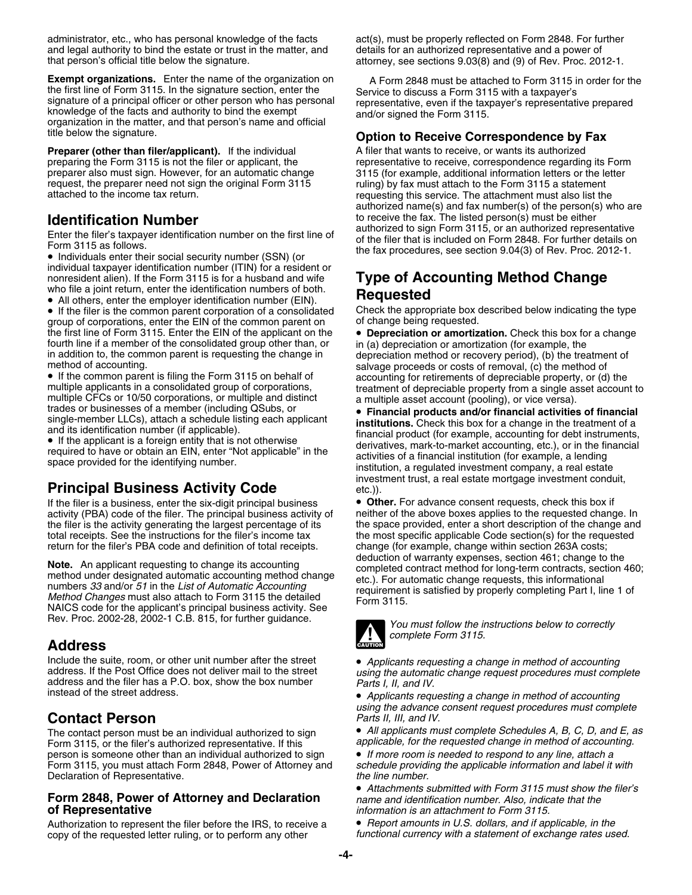administrator, etc., who has personal knowledge of the facts act(s), must be properly reflected on Form 2848. For further and legal authority to bind the estate or trust in the matter, and details for an authorized representative and a power of that person's official title below the signature.

**Exempt organizations.** Enter the name of the organization on A Form 2848 must be attached to Form 3115 in order for the the first line of Form 3115. In the signature section, enter the Service to discuss a Form 3115 with the first line of Form 3115. In the signature section, enter the<br>signature to discuss a Form 3115 with a taxpayer's<br>signature of a principal officer or other person who has personal<br>knowledge of the facts and authority to

**Preparer (other than filer/applicant).** If the individual A filer that wants to receive, or wants its authorized preparing the Form 3115 is not the filer or applicant, the representative to receive, correspondence regardi request, the preparer need not sign the original Form 3115 ruling) by fax must attach to the Form 3115 a statement<br>attached to the income tax return.<br>requesting this service. The attachment must also list the

• Individuals enter their social security number (SSN) (or individual taxpayer identification number (ITIN) for a resident or nonresident alien). If the Form 3115 is for a husband and wife **Type of Accounting Method Change** who file a joint return, enter the identification numbers of both.<br>
• All others, enter the employer identification number (

who life a joint return, enter the identification numbers of both.<br>• All others, enter the employer identification number (EIN). **Requested** 

group of corporations, enter the EIN of the common parent on of change being requested. the first line of Form 3115. Enter the EIN of the applicant on the • **Depreciation or amortization.** Check this box for a change fourth line if a member of the consolidated group other than, or in (a) depreciation or amortization (for example, the in addition to, the common parent is requesting the change in depreciation method or recovery period), in addition to, the common parent is requesting the change in depreciation method or recovery period), (b) the treatment of method of accounting. Salvage proceeds or costs of removal, (c) the method of

• If the common parent is filing the Form 3115 on behalf of • If the common parent is filing the Form 3115 on behalf of accounting for retirements of depreciable property, or (d) the multiple applicants in a consolidated group of corporations,<br>multiple CFCs or 10/50 corporations, o

### **Principal Business Activity Code** etc.)).

If the filer is a business, enter the six-digit principal business **• Other.** For advance consent requests, check this box if activity (PBA) code of the filer. The principal business activity of neither of the above boxes activity (PBA) code of the filer. The principal business activity of the filer is the activity generating the largest percentage of its total receipts. See the instructions for the filer's income tax the most specific applicable Code section(s) for the requested return for the filer's PBA code and definition of total receipts. Change (for example, change w

**Note.** An applicant requesting to change its accounting<br>method under designated automatic accounting method change<br>numbers 33 and/or 51 in the List of Automatic Accounting<br>method Changes must also attach to Form 3115 the Rev. Proc. 2002-28, 2002-1 C.B. 815, for further guidance. *You must follow the instructions below to correctly*

### **Address**

Include the suite, room, or other unit number after the street<br>address. If the Post Office does not deliver mail to the street<br>address and the filer has a P.O. box, show the box number<br>instead of the street address.

### **Contact Person** *Parts II, III, and IV.*

Form 3115, or the filer's authorized representative. If this *applicable, for the requested change in method of accoun*<br>person is someone other than an individual authorized to sign **If more room is needed to respond to an** person is someone other than an individual authorized to sign • *If more room is needed to respond to any line, attach a* Form 3115, you must attach Form 2848, Power of Attorney and *schedule providing the application of Representative.* Declaration of Representative.

### **Form 2848, Power of Attorney and Declaration** *name and identification number. Also, indicate that the* **of Representative** *information is an attachment to Form 3115.*

Authorization to represent the filer before the IRS, to receive a **•** *Report amounts in U.S. dollars, and if applicable, in the*<br>copy of the requested letter ruling, or to perform any other *functional currency with a sta* copy of the requested letter ruling, or to perform any other

attorney, see sections 9.03(8) and (9) of Rev. Proc. 2012-1.

### title below the signature. **Option to Receive Correspondence by Fax**

preparing the Form 3115 is not the filer or applicant, the representative to receive, correspondence regarding its Form<br>preparer also must sign. However, for an automatic change 3115 (for example, additional information le 3115 (for example, additional information letters or the letter requesting this service. The attachment must also list the authorized name(s) and fax number(s) of the person(s) who are to receive the fax. The listed person(s) must be either **Identification Number**<br>
Enter the filer's taxpayer identification number on the first line of<br>
Form 3115 as follows.<br>
The filer that is included on Form 2848. For further details on<br>
Form 3115 as follows.<br>
The fax procedu

• If the filer is the common parent corporation of a consolidated Check the appropriate box described below indicating the type

single-member LLCs), attach a schedule listing each applicant<br>and its identification number (if applicable).<br>• If the applicant is a foreign entity that is not otherwise<br>reruingly in the scounting, etc.), or in the financi required to have or obtain an EIN, enter "Not applicable" in the activities of a financial institution (for example, a lending<br>space provided for the identifying number.<br>institution, a requlated investment company, a real investment trust, a real estate mortgage investment conduit,

the space provided, enter a short description of the change and change (for example, change within section 263A costs;<br>deduction of warranty expenses, section 461; change to the



*complete Form 3115.* 

 *Applicants requesting a change in method of accounting using the advance consent request procedures must complete*

The contact person must be an individual authorized to sign **• All applicants must complete Schedules A, B, C, D, and E, as**<br>Form 3115 or the filer's authorized representative If this **applicable, for the requested change** 

• *Attachments submitted with Form 3115 must show the filer's*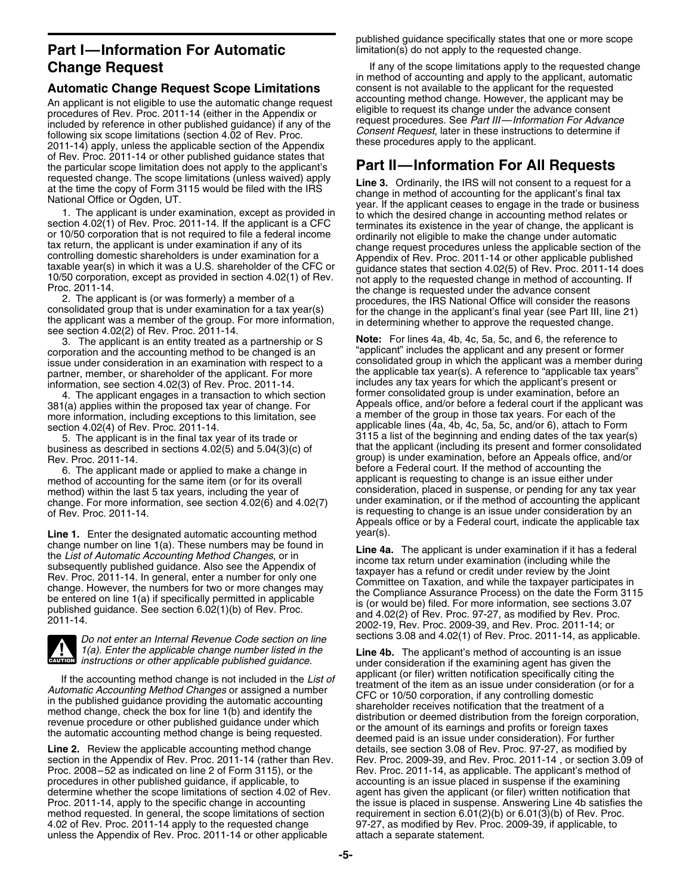## **Part I—Information For Automatic Interest and Constrainer** in  $\mathbf{S}$  and  $\mathbf{S}$  are not apply to the requested change.

An applicant is not eligible to use the automatic change request<br>procedures of Rev. Proc. 2011-14 (either in the Appendix or<br>included by reference in other published guidance) if any of the<br>following six scope limitations of Rev. Proc. 2011-14 or other published guidance states that the particular scope limitation does not apply to the applicant's the particular scope limitation does not apply to the applicant's **Part II—Information For All Requests**

issue under consideration in an examination with respect to a

4. The applicant engages in a transaction to which section 381(a) applies within the proposed tax year of change. For more information, including exceptions to this limitation, see section 4.02(4) of Rev. Proc. 2011-14.

6. The applicant made or applied to make a change in before a Federal court. If the method of accounting the<br>thod of accounting for the same item (or for its overall applicant is requesting to change is an issue either und method of accounting for the same item (or for its overall applicant is requesting to change is an issue either under<br>method) within the last 5 tax vears, including the year of consideration, placed in suspense, or pending change. For more information, see section  $4.02(6)$  and  $4.02(7)$ of Rev. Proc. 2011-14. **is requesting to change is an issue under consideration by an** is requesting to change is an issue under consideration by an

**Line 1.** Enter the designated automatic accounting method year(s).<br>change number on line 1(a). These numbers may be found in



**CAUTION** *instructions or other applicable published guidance.*

Line 2. Review the applicable accounting method change details, see section 3.08 of Rev. Proc. 97-27, as modified by section in the Appendix of Rev. Proc. 2011-14 (rather than Rev. Rev. Proc. 2009-39, and Rev. Proc. 2011-14, or section 3.09 of<br>Proc. 2008–52 as indicated on line 2 of Form 3115), or the Rev. Proc. 2011-14, as applicable. T procedures in other published guidance, if applicable, to determine whether the scope limitations of section 4.02 of Rev. agent has given the applicant (or filer) written notification that determine whether that proc. 2011-14, apply to the specific change in accounting with the i method requested. In general, the scope limitations of section requirement in section 6.01(2)(b) or 6.01(3)(b) of Rev. Proc.<br>4.02 of Rev. Proc. 2011-14 apply to the requested change 97-27, as modified by Rev. Proc. 2009-39 unless the Appendix of Rev. Proc. 2011-14 or other applicable

published guidance specifically states that one or more scope

**Change Request If any of the scope limitations apply to the requested change** in method of accounting and apply to the applicant, automatic **Automatic Change Request Scope Limitations** consent is not available to the applicant for the requested<br>An applicant is not eligible to use the automatic change request accounting method change. However, the applicant may

requested change. The scope limitations (unless waived) apply<br>
Mathem the copy of Form 3115 would be filed with the IRS<br>
Mational Office or Ogden, UT.<br>
1. The applicant is under examination, except as provided in<br>
the appl

see section 4.02(2) of Rev. Proc. 2011-14.<br>3. The applicant is an entity treated as a partnership or S **Note:** For lines 4a, 4b, 4c, 5a, 5c, and 6, the reference to<br>corporation and the accounting method to be changed is an corporation and the accounting method to be changed is an "applicant" includes the applicant and any present or former<br>issue under consideration in an examination with respect to a consolidated group in which the applicant partner, member, or shareholder of the applicant. For more the applicable tax year(s). A reference to "applicable tax years" information, see section 4.02(3) of Rev. Proc. 2011-14. includes any tax years for which the applicant's present or former consolidated group is under examination, before an Appeals office, and/or before a federal court if the applicant was a member of the group in those tax years. For each of the applicable lines (4a, 4b, 4c, 5a, 5c, and/or 6), attach to Form 5. The applicant is in the final tax year of its trade or 3115 a list of the beginning and ending dates of the tax year(s) business as described in sections 4.02(5) and 5.04(3)(c) of that the applicant (including its present and former consolidated<br>Rev. Proc. 2011-14. group) is under examination, before an Appeals office, and/or before a Federal court. If the method of accounting the method) within the last 5 tax years, including the year of consideration, placed in suspense, or pending for any tax year<br>change. For more information, see section 4,02(6) and 4,02(7) under examination, or if the method of Appeals office or by a Federal court, indicate the applicable tax

change number on line 1(a). These numbers may be found in<br>the List of Automatic Accounting Method Changes, or in<br>subsequently published guidance. Also see the Appendix of<br>Rev. Proc. 2011-14. In general, enter a number for *Do not enter an Internal Revenue Code section on line* sections 3.08 and 4.02(1) of Rev. Proc. 2011-14, as applicable.

*1(a). Enter the applicable change number listed in the* **Line 4b.** The applicant's method of accounting is an issue under consideration if the examining agent has given the applicant (or filer) written notification specifically citing the If the accounting method change is not included in the *List of*<br>Automatic Accounting Method Changes or assigned a number<br>in the published guidance providing the automatic accounting<br>method change, check the box for line Rev. Proc. 2011-14, as applicable. The applicant's method of accounting is an issue placed in suspense if the examining the issue is placed in suspense. Answering Line 4b satisfies the 97-27, as modified by Rev. Proc. 2009-39, if applicable, to attach a separate statement.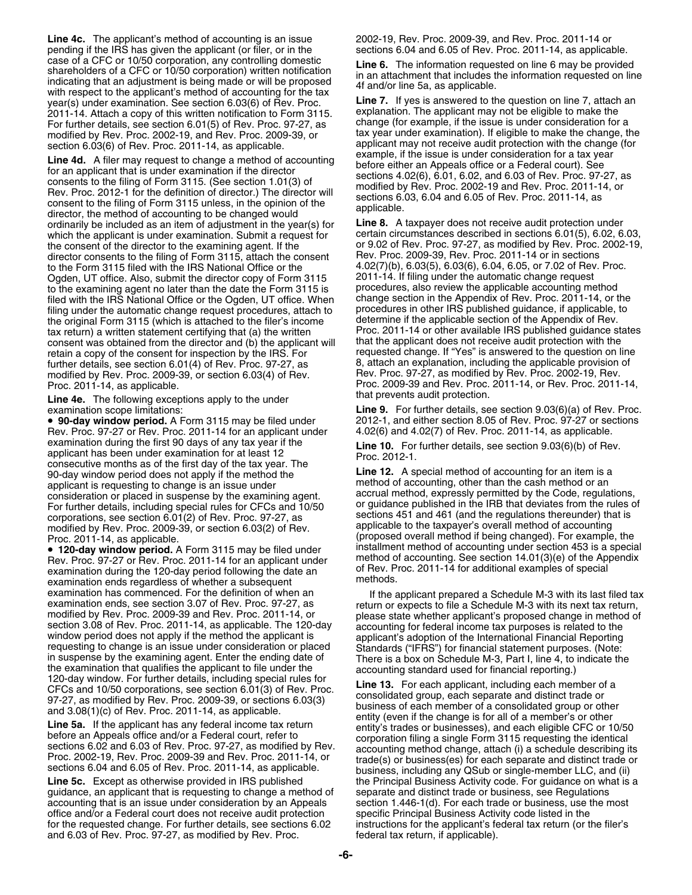**Line 4c.** The applicant's method of accounting is an issue 2002-19, Rev. Proc. 2009-39, and Rev. Proc. 2011-14 or pending if the IRS has given the applicant (or filer, or in the sections 6.04 and 6.05 of Rev. Proc. 2011-14, as applicable.<br>case of a CFC or 10/50 corporation, any controlling domestic **in the 6.** The information requeste Case of a CFC or 10/50 corporation, any controlling domestic<br>
shareholders of a CFC or 10/50 corporation) written notification<br>
indicating that an addissiment is being made or will be proposed<br>
with respect to the applica year(s) under examination. See section 6.03(6) of Rev. Proc. **Line 7.** If yes is answered to the question on line 7, attach and the pustion on line 7, attach and the pustion on the 1, attach and the pustion on the section 2011-14. Attach a copy of this written notification to Form 3115. explanation. The applicant may not be eligible to make the<br>For further details, see section 6.01(5) of Rey, Proc. 97-27, as change (for example, if the issu For further details, see section 6.01(5) of Rev. Proc. 97-27, as change (for example, if the issue is under consideration for a<br>modified by Rev. Proc. 2002-19, and Rev. Proc. 2009-39, or tax year under examination). If eli modified by Rev. Proc. 2002-19, and Rev. Proc. 2009-39, or

**Line 4d.** A filer may request to change a method of accounting<br>for an applicant that is under examination if the director<br>consents to the filing of Form 3115. (See section 1.01(3) of<br>Rev. Proc. 2012-1 for the definition o ordinarily be included as an item of adjustment in the year(s) for **Line 8.** A taxpayer does not receive audit protection under which the applicant is under examination. Submit a request for the consent of the director to the examining agent. If the director consents to the filing of Form 3115, attach the consent to the Form 3115 filed with the IRS National Office or the 4.02(7)(b), 6.03(5), 6.03(6), 6.04, 6.05, or 7.02 of Rev. Proc. Ogden, UT office. Also, submit the director copy of Form 3115 2011-14. If filing under the automatic change request to the examining agent no later than the date the Form 3115 is procedures, also review the applicable acco filed with the IRS National Office or the Ogden, UT office. When change section in the Appendix of Rev. Proc. 2011-14, or the filing under the automatic change request procedures, attach to procedures in other IRS publishe filing under the automatic change request procedures, attach to procedures in other IRS published guidance, if applicable,<br>the original Form 3115 (which is attached to the filer's income determine if the applicable section the original Form 3115 (which is attached to the filer's income determine if the applicable section of the Appendix of Rev.<br>tax return) a written statement certifying that (a) the written Proc. 2011-14 or other available I tax return) a written statement certifying that (a) the written Proc. 2011-14 or other available IRS published guidance states consent was obtained from the director and (b) the applicant will that the applicant does not r consent was obtained from the director and (b) the applicant will retain a copy of the consent for inspection by the IRS. For requested change. If "Yes" is answered to the question on line further details, see section 6.01(4) of Rev. Proc. 97-27, as 8, attach an explanation, including the applicable provision of

**Line 4e.** The following exceptions apply to the under

Rev. Proc. 97-27 or Rev. Proc. 2011-14 for an applicant under 4.02(6) and 4.02(7) of Rev. Proc. 2011-14, as applicable.<br>Eine 10 For further datails see section 9.03(6) of Re Examination during the first 90 days of any tax year if the to Line 10. For further details, see section 9.03(6)(b) of Rev.<br>applicant has been under examination for at least 12<br>consecutive months as of the first day of th 90-day window period does not apply if the method the **Line 12.** A special method of accounting for an item is a applicant is requesting to change is an issue under applicant is requesting to change is an issue under method of accounting, other than the cash method or an<br>consideration or placed in suspense by the examining agent accrual method, expressly permitted by the Code, regulat consideration or placed in suspense by the examining agent.<br>For further details, including special rules for CFCs and 10/50 corporations, see section 6.01(2) of Rev. Proc. 97-27, as sections 451 and 461 (and the regulations thereunder) that is modified by Rev. Proc. 2009-39, or section 6.03(2) of Rev. applicable to the taxpayer's overall method modified by Rev. Proc. 2009-39, or section 6.03(2) of Rev.

Rev. Proc. 97-27 or Rev. Proc. 2011-14 for an applicant under method of accounting. See section 14.01(3)(e) of the Appendix<br>examination during the 120-day period following the date an of Rev. Proc. 2011-14 for additional e examination during the 120-day period following the date an of Rev. Proc. 2011-14 for additional examination ends required to special examination ends required to special example of the special examples of whether a subseq examination ends regardless of whether a subsequent examination has commenced. For the definition of when an<br>examination ends, see section 3.07 of Rev. Proc. 201-1-14, or<br>modified by Rev. Proc. 2009-39 and Rev. Proc. 2011-14, or<br>modified by Rev. Proc. 2009-39 and Rev. Proc.

guidance, an applicant that is requesting to change a method of separate and distinct trade or business, see Regulations<br>accounting that is an issue under consideration by an Appeals section 1.446-1(d). For each trade or b accounting that is an issue under consideration by an Appeals office and/or a Federal court does not receive audit protection specific Principal Business Activity code listed in the for the requested change. For further details, see sections 6.02 instructions for the applicant's federal tax return (or the filer's and 6.03 of Rev. Proc. 97-27, as modified by Rev. Proc.  $\frac{1}{2}$  federal tax return, if and 6.03 of Rev. Proc. 97-27, as modified by Rev. Proc.

section 6.03(6) of Rev. Proc. 2011-14, as applicable. applicant may not receive audit protection with the change (for<br>I in a dd. A filer may request to change a method of accounting example, if the issue is under considera

or 9.02 of Rev. Proc. 97-27, as modified by Rev. Proc. 2002-19, Rev. Proc. 2009-39, Rev. Proc. 2011-14 or in sections procedures, also review the applicable accounting method modified by Rev. Proc. 2009-39, or section 6.03(4) of Rev. <br>Proc. 2009-39 and Rev. Proc. 2011-14, or Rev. Proc. 2011-14, or Rev. Proc. 2011-14, as applicable. Proc. 2009-39 and Rev. Proc. 2011-14, or Rev. Proc. 2011-14, that prevents audit protection.

examination scope limitations:<br>**● 90-day window period.** A Form 3115 may be filed under 2012-1, and either section 8.05 of Rev. Proc. 97-27 or sections • **90-day window period.** A Form 3115 may be filed under 2012-1, and either section 8.05 of Rev. Proc. 97-27 or sections

or guidance published in the IRB that deviates from the rules of Proc. 2011-14, as applicable.<br>
• 120-day window period. A Form 3115 may be filed under<br>
• 120-day window period. A Form 3115 may be filed under<br>
installment method of accounting under section 453 is a special • 120-day window period. A Form 3115 may be filed under installment method of accounting under section 453 is a special

Line 5c. Except as otherwise provided in IRS published the Principal Business Activity code. For guidance on what is a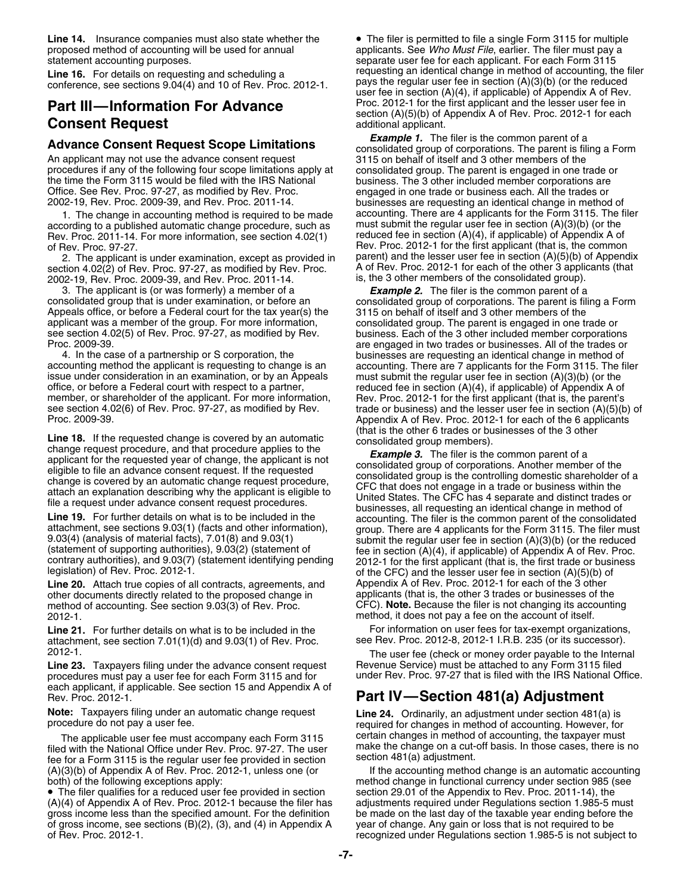Line 14. Insurance companies must also state whether the • The filer is permitted to file a single Form 3115 for multiple proposed method of accounting will be used for annual applicants. See *Who Must File*, earlier. The filer must pay a<br>separate user fee for each applicant. For each Form 3115

## **Consent Request**<br>A there are **Consent Request Consent Limitations** additional applicant. The filer is the common parent of a

An applicant may not use the advance consent request 3115 on behalf of itself and 3 other members of the<br>procedures if any of the following four scope limitations apply at consolidated group. The parent is engaged in one t procedures if any of the following four scope limitations apply at consolidated group. The parent is engaged in one trade or<br>the time the Form 3115 would be filed with the IRS National business. The 3 other included member Office. See Rev. Proc. 97-27, as modified by Rev. Proc. engaged in one trade or business each. All the trades or<br>2002-19, Rev. Proc. 2009-39, and Rev. Proc. 2011-14. businesses are requesting an identical change in method

according to a published automatic change procedure, such as must submit the regular user fee in section (A)(3)(b) (or the<br>Rev. Proc. 2011-14, For more information, see section 4.02(1) reduced fee in section (A)(4), if app Rev. Proc. 2011-14. For more information, see section 4.02(1) of Rev. Proc. 97-27.

section 4.02(2) of Rev. Proc. 97-27, as modified by Rev. Proc. A of Rev. Proc. 2012-1 for each of the other 3 appli<br>2002-19, Rev. Proc. 2009-39, and Rev. Proc. 2011-14. <br>is, the 3 other members of the consolidated group). 2002-19, Rev. Proc. 2009-39, and Rev. Proc. 2011-14.

3. The applicant is (or was formerly) a member of a *Example 2.* The filer is the common parent of a Appeals office, or before a Federal court for the tax year(s) the 3115 on behalf of itself and 3 other members of the applicant was a member of the group. For more information, consolidated group. The parent is engaged in one trade or see section 4.02(5) of Rev. Proc. 97-27, as modified by Rev. business. Each of the 3 other included membe

4. In the case of a partnership or S corporation, the businesses are requesting an identical change in method of accounting method the applicant is requesting to change is an accounting. There are 7 applicants for the Form issue under consideration in an examination, or by an Appeals must submit the regular user fee in section (A)(3)(b) (or the office, or before a Federal court with respect to a partner, reduced fee in section (A)(4), if app member, or shareholder of the applicant. For more information, Rev. Proc. 2012-1 for the first applicant (that is, the parent's see section 4.02(6) of Rev. Proc. 97-27, as modified by Rev. trade or business) and the lesser

Line 20. Attach true copies of all contracts, agreements, and Appendix A of Rev. Proc. 2012-1 for each of the 3 other<br>
other documents directly related to the proposed change in applicants (that is, the other 3 trades or b other documents directly related to the proposed change in applicants (that is, the other 3 trades or businesses of the method of accounting. See section 9.03(3) of Rev. Proc. CFC). **Note**. Because the filer is not changin method of accounting. See section 9.03(3) of Rev. Proc. 2012-1. method, it does not pay a fee on the account of itself.

attachment, see section 7.01(1)(d) and 9.03(1) of Rev. Proc. see Rev. Proc. 2012-8, 2012-1 I.R.B. 235 (or its successor).

Line 23. Taxpayers filing under the advance consent request<br>procedures must pay a user fee for each Form 3115 and for under Rev. Proc. 97-27 that is filed with the IRS National Office. procedures must pay a user fee for each Form 3115 and for each applicant, if applicable. See section 15 and Appendix A of Rev. Proc. 2012-1. **Part IV—Section 481(a) Adjustment**

fee for a Form 3115 is the regular user fee provided in section section 481(a) adjustment.<br>(A)(3)(b) of Appendix A of Rev. Proc. 2012-1, unless one (or force and the accounting method change is an automatic accounting  $(A)(3)(b)$  of Appendix A of Rev. Proc. 2012-1, unless one (or both) of the following exceptions apply:

• The filer qualifies for a reduced user fee provided in section section 29.01 of the Appendix to Rev. Proc. 2011-14), the (A)(4) of Appendix A of Rev. Proc. 2012-1 because the filer has adjustments required under Regulations section 1.985-5 must gross income less than the specified amount. For the definition be made on the last day of the taxable year ending before the of gross income, see sections (B)(2), (3), and (4) in Appendix A year of change. Any gain or loss that is not required to be

separate user fee for each applicant. For each Form 3115 **Line 16.** For details on requesting and scheduling a<br>conference, see sections  $9.04(4)$  and  $10$  of Rev. Proc. 2012-1. pays the regular user fee in section  $(A)(3)(b)$  (or the reduced<br>user fee in section  $(A)(4)$ , if applicab **Part III—Information For Advance**<br> **Consent Request Consent Request**<br> **Consent Request**<br> **Consent Request**<br> **Consent Request**<br> **Proc. 2012-1 for Appendix A of Rev. Proc. 2012-1 for each**<br> **Additional applicant.** 

**Advance Consent Request Scope Limitations**<br>An applicant may not use the advance consent request<br>3115 on behalf of itself and 3 other members of the business. The 3 other included member corporations are businesses are requesting an identical change in method of 1. The change in accounting method is required to be made accounting. There are 4 applicants for the Form 3115. The filer<br>cording to a published automatic change procedure, such as must submit the regular user fee in secti Rev. Proc. 2012-1 for the first applicant (that is, the common parent) and the lesser user fee in section  $(A)(5)(b)$  of Appendix 2. The applicant is under examination, except as provided in parent) and the lesser user fee in section (A)(5)(b) of Appendix<br>tion 4.02(2) of Rev. Proc. 97-27, as modified by Rev. Proc. A of Rev. Proc. 2012-1 for each of t

consolidated group of corporations. The parent is filing a Form business. Each of the 3 other included member corporations Proc. 2009-39. are engaged in two trades or businesses. All of the trades or accounting. There are 7 applicants for the Form 3115. The filer reduced fee in section  $(A)(4)$ , if applicable) of Appendix A of trade or business) and the lesser user fee in section  $(A)(5)(b)$  of Proc. 2009-39.<br>Appendix A of Rev. Proc. 2012-1 for each of the 6 applicants<br>Appendix A of Rev. Proc. 2012-1 for each of the 6 applicants<br>Appendix A of Rev. Proc. 2012-1 for each of the 6 applicants

Line 18. If the requested change is covered by an automatic<br>change request procedure, and that procedure applicant is of consolidated group members).<br>
applicant for the requested year of change, the applicant is not<br>
eligi

Line 21. For further details on what is to be included in the For information on user fees for tax-exempt organizations,

The user fee (check or money order payable to the Internal Revenue Service) must be attached to any Form 3115 filed

**Note:** Taxpayers filing under an automatic change request **Line 24.** Ordinarily, an adjustment under section 481(a) is procedure do not pay a user fee. The applicable user fee must accompany each Form 3115 certain changes in method of accounting, the taxpayer must make the change on a cut-off basis. In those cases, there is no<br>field with the National Office under Rev. Proc. 97-27. The user<br>fee for a Form 3115 is the requilar user fee provided in section<br>section 481(a) adjustment.

> method change in functional currency under section 985 (see recognized under Regulations section 1.985-5 is not subject to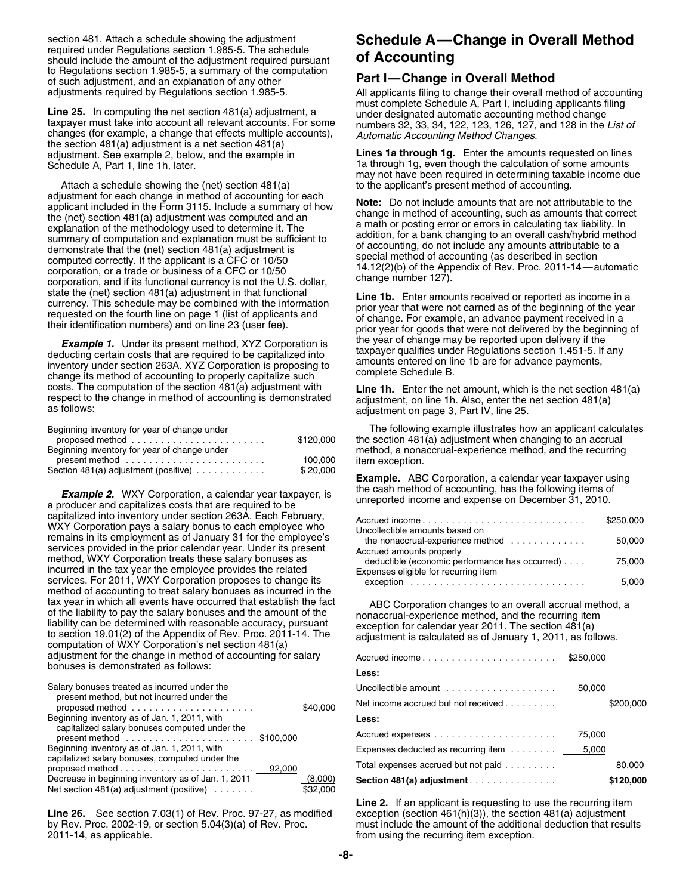should include the amount of the adjustment required pursuant to Regulations section 1.985-5, a summary of the computation of such adjustment, and an explanation of any other **Part I—Change in Overall Method**

Line 25. In computing the net section 481(a) adjustment, a under designated automatic accounting method change<br>taxpayer must take into account all relevant accounts. For some numbers 32, 33, 34, 122, 123, 126, 127, and 128 the section 481(a) adjustment is a net section 481(a) adjustment. See example 2, below, and the example in **Lines 1a through 1g.** Enter the amounts requested on lines Schedule A, Part 1, line 1h, later. 1a through 1g, even though the calculation of some amounts

Attach a schedule showing the (net) section  $481(a)$ adjustment for each change in method of accounting for each<br>applicant included in the Form 3115. Include a summary of how<br>applicant included in the Form 3115. Include a summary of how<br>explanation of the methodology used t

**Example 1.** Under its present method, XYZ Corporation is<br>deducting certain costs that are required to be capitalized into<br>inventory under section 263A. XYZ Corporation is proposing to<br>change its method of accounting to pr

| proposed method $\ldots \ldots \ldots \ldots \ldots \ldots \ldots$ | \$120,000 |
|--------------------------------------------------------------------|-----------|
| Beginning inventory for year of change under                       |           |
|                                                                    | 100.000   |
| Section 481(a) adjustment (positive) $\ldots \ldots \ldots$        | \$20.000  |

**Example 2.** WXY Corporation, a calendar year taxpayer, is<br>a producer and capitalizes costs that are required to be<br>capitalized into inventory under section 263A. Each February, capitalized into inventory under section 263A. Each February,<br>WXY Corporation pays a salary bonus to each employee who<br>remains in its employment as of January 31 for the employee's<br>services provided in the prior calendar y incurred in the tax year the employee provides the related services. For 2011, WXY Corporation proposes to change its. method of accounting to treat salary bonuses as incurred in the tax year in which all events have occurred that establish the fact tax year in which all events have occurred that establish the tact and a proporation changes to an overall accrual method, a of the liability to pay the salary bonuses and the amount of the liability can be determined with adjustment for the change in method of accounting for salary bonuses is demonstrated as follows:

| Salary bonuses treated as incurred under the                                                              |  |                     | Uncollectible amount $\ldots \ldots \ldots \ldots \ldots \ldots$ 50,000 |        |           |
|-----------------------------------------------------------------------------------------------------------|--|---------------------|-------------------------------------------------------------------------|--------|-----------|
| present method, but not incurred under the<br>proposed method $\ldots \ldots \ldots \ldots \ldots \ldots$ |  | \$40,000            | Net income accrued but not received                                     |        | \$200.000 |
| Beginning inventory as of Jan. 1, 2011, with<br>capitalized salary bonuses computed under the             |  |                     | Less:                                                                   |        |           |
| present method $\ldots \ldots \ldots \ldots \ldots \ldots$ \$100,000                                      |  |                     |                                                                         | 75.000 |           |
| Beginning inventory as of Jan. 1, 2011, with                                                              |  |                     |                                                                         |        |           |
| capitalized salary bonuses, computed under the                                                            |  |                     | Total expenses accrued but not paid                                     |        | 80,000    |
| Decrease in beginning inventory as of Jan. 1, 2011<br>Net section 481(a) adjustment (positive)            |  | (8,000)<br>\$32,000 | Section 481(a) adjustment                                               |        | \$120,000 |

Line 26. See section 7.03(1) of Rev. Proc. 97-27, as modified exception (section 461(h)(3)), the section 481(a) adjustment by Rev. Proc. 2002-19, or section 5.04(3)(a) of Rev. Proc. by Rev. Proc. 2002-19, or section 5.04(3)(a) of Rev. Proc. must include the amount of the additional deduction that results  $2011-14$ , as applicable.

## section 481. Attach a schedule showing the adjustment **Schedule A—Change in Overall Method**<br>
required under Regulations section 1.985-5. The schedule<br>
should include the amount of the adjustment required pursuant **of Accou**

All applicants filing to change their overall method of accounting must complete Schedule A, Part I, including applicants filing

may not have been required in determining taxable income due to the applicant's present method of accounting.

state the (het) section 481(a) adjustment in that functional<br>currency. This schedule may be combined with the information<br>requested on the fourth line on page 1 (list of applicants and<br>their identification numbers) and on

costs. The computation of the section 481(a) adjustment with<br>respect to the change in method of accounting is demonstrated<br>as follows:<br>adjustment on page 3, Part IV, line 25.<br>as follows:

Beginning inventory for year of change under The following example illustrates how an applicant calculates the section  $481(a)$  adjustment when changing to an accrual method, a nonaccrual-experience method, and the recurring item exception.

**Example.** ABC Corporation, a calendar year taxpayer using

|                                                                    | \$250,000 |
|--------------------------------------------------------------------|-----------|
| Jncollectible amounts based on<br>the nonaccrual-experience method | 50.000    |
| Accrued amounts properly                                           |           |
| deductible (economic performance has occurred)                     | 75.000    |
| Expenses eligible for recurring item                               |           |
|                                                                    | 5.000     |

| ljustment for the change in method of accounting for salary<br>nuses is demonstrated as follows:                          |          | Accrued income                                                          | \$250,000 |           |
|---------------------------------------------------------------------------------------------------------------------------|----------|-------------------------------------------------------------------------|-----------|-----------|
|                                                                                                                           |          | Less:                                                                   |           |           |
| lary bonuses treated as incurred under the                                                                                |          | Uncollectible amount $\ldots \ldots \ldots \ldots \ldots \ldots$ 50,000 |           |           |
| present method, but not incurred under the<br>proposed method $\,\dots\, \dots\, \dots\, \dots\, \dots\, \dots\, \dots\,$ | \$40,000 | Net income accrued but not received                                     |           | \$200,000 |
| ginning inventory as of Jan. 1, 2011, with                                                                                |          | Less:                                                                   |           |           |
| capitalized salary bonuses computed under the                                                                             |          |                                                                         | 75.000    |           |
| ginning inventory as of Jan. 1, 2011, with                                                                                |          | Expenses deducted as recurring item                                     | 5,000     |           |
| pitalized salary bonuses, computed under the                                                                              |          | Total expenses accrued but not paid                                     |           | 80,000    |
| crease in beginning inventory as of Jan. 1, 2011                                                                          | (8,000)  | Section 481(a) adjustment                                               |           | \$120,000 |

**Line 2.** If an applicant is requesting to use the recurring item from using the recurring item exception.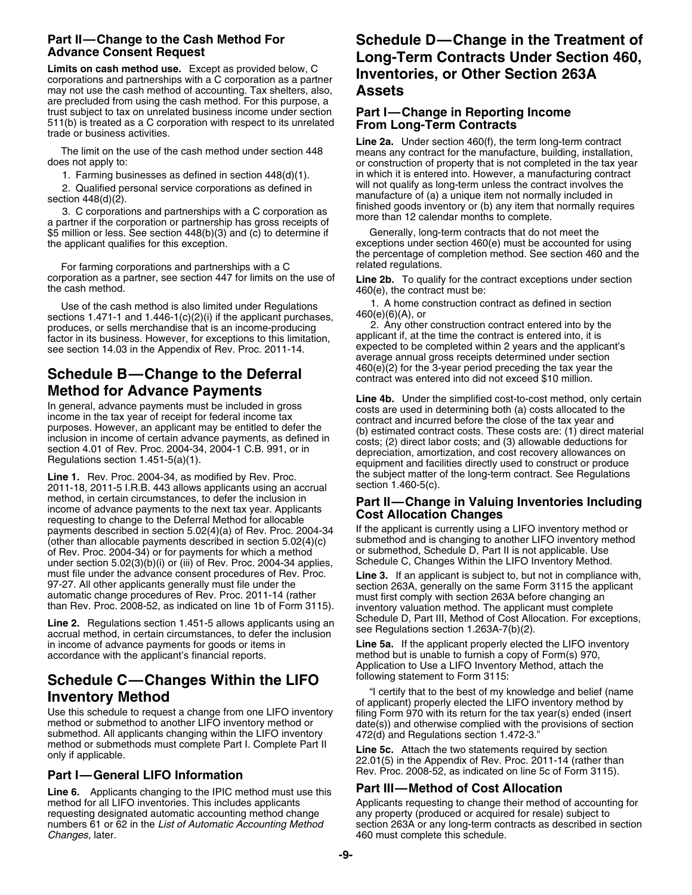corporations and partnerships with a C corporation as a partner **ILLUMENTIC**<br>may not use the cash method of accounting. Tax shelters, also, **Assets** may not use the cash method of accounting. Tax shelters, also, are precluded from using the cash method. For this purpose, a trust subject to tax on unrelated business income under section<br>511(b) is treated as a C corporation with respect to its unrelated<br>trade or business activities.<br>**Line 2a.** Under section 460(f), the term long-term contract

The limit on the use of the cash method under section 448 means any contract for the manufacture, building, installation, does not apply to:<br>or construction of property that is not completed in the tax yea

\$5 million or less. See section 448(b)(3) and (c) to determine if the applicant qualifies for this exception. exceptions under section 460(e) must be accounted for using

For farming corporations and partnerships with a C related regulations.<br>
corporation as a partner, see section 447 for limits on the use of Line 2b. To qualify corporation as a partner, see section 447 for limits on the use of **Line 2b.** To qualify for the contract exceptions under section the cash method. 460(e), the contract must be:

Use of the cash method is also limited under Regulations **1.** A home construction contract as defined in section<br>tions 1 471-1 and 1,446-1(c)(2)(i) if the annlicant purchases. 460(e)(6)(A), or

## **Schedule B—Change to the Deferral** contract was entered into did not exceed \$10 million.

2011-18, 2011-5 I.R.B. 443 allows applicants using an accrual method, in certain circumstances, to defer the inclusion in metriod, in certain circumstances, to defer the inclusion in<br>income of advance payments to the next tax year. Applicants<br>requesting to change to the Deferral Method for allocable<br>payments described in section 5.02(4)(a) of payments described in section  $5.02(4)(a)$  of Rev. Proc. 2004-34 (other than allocable payments described in section 5.02(4)(c) submethod and is changing to another LIFO inventory method of Rev. Proc. 2004-34) or for payments for which a method or submethod, Schedule D, Part II is not applicable. Use<br>under section 5.02(3)(b)(i) or (iii) of Rev. Proc. 2004-34 applies. Schedule C, Changes Within the LIFO Inv under section  $5.02(3)(b)(i)$  or (iii) of Rev. Proc. 2004-34 applies,

Line 2. Regulations section 1.451-5 allows applicants using an Scriedule D, Part III, Metrico of Cost Allo<br>accrual method, in certain circumstances, to defer the inclusion see Regulations section 1.263A-7(b)(2). in income of advance payments for goods or items in **Line 5a.** If the applicant properly elected the LIFO inventory accordance with the applicant's financial reports. method but is unable to furnish a copy of Form(s) 970,

**Schedule C—Changes Within the LIFO**<br> **Inventory Method**<br>
Use this schedule to request a change from one LIFO inventory<br>
Use this schedule to request a change from one LIFO inventory<br>
Intervention of applicant) properly el

**Line 6.** Applicants changing to the IPIC method must use this **Part III—Method of Cost Allocation**<br>method for all LIFO inventories. This includes applicants **Applicants** requesting to change their method of requesting designated automatic accounting method change any property (produced or acquired for resale) subject to

# Part II—Change to the Cash Method For<br>Advance Consent Request<br>Long-Term Contracts Under Section 460,<br>Limits on cash method use. Except as provided below, C<br>Inventories, or Other Section 263A

or construction of property that is not completed in the tax year 1. Farming businesses as defined in section  $448(d)(1)$ . in which it is entered into. However, a manufacturing contract involves the  $\Omega$  Ouglified personal service corporations as defined in will not qualify as long-term u 2. Qualified personal service corporations as defined in<br>section  $448(d)(2)$ .<br>3. C corporations and partnerships with a C corporation as<br>a partner if the corporation or partnership has gross receipts of<br>\$5 million or less.

the percentage of completion method. See section 460 and the

sections 1.471-1 and 1.446-1(c)(2)(i) if the applicant purchases,<br>produces, or sells merchandise that is an income-producing<br>factor in its business. However, for exceptions to this limitation,<br>see section 14.03 in the App

**Method for Advance Payments**<br>
In general, advance payments must be included in gross<br>
income in the tax year of receipt for federal income tax<br>
income in the tax year of receipt for federal income tax<br>
purposes. However, Line 1. Rev. Proc. 2004-34, as modified by Rev. Proc. the subject matter of the long-term contract. See Regulations<br>2011-18, 2011-5 LB B, 443 allows applicants using an accrual section 1.460-5(c).

must file under the advance consent procedures of Rev. Proc.<br>
97-27. All other applicants generally must file under the<br>
automatic change procedures of Rev. Proc. 2011-14 (rather<br>
than Rev. Proc. 2008-52, as indicated on l

Application to Use a LIFO Inventory Method, attach the following statement to Form 3115:

Rev. Proc. 2008-52, as indicated on line 5c of Form 3115). **Part I—General LIFO Information**

Applicants requesting to change their method of accounting for numbers 61 or 62 in the *List of Automatic Accounting Method* section 263A or any long-term contracts as described in section 460 must complete this schedule.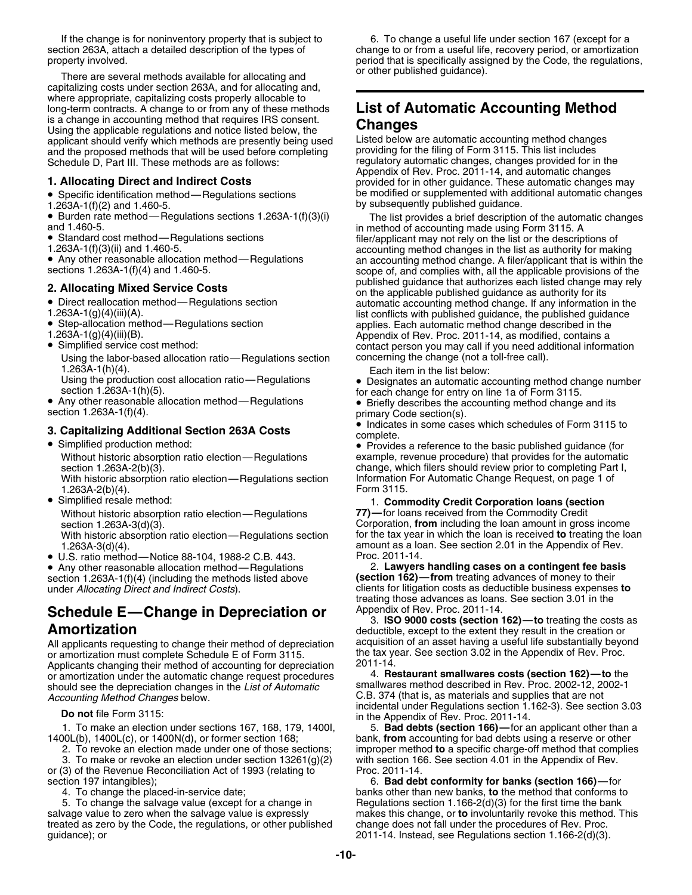or other published guidance). There are several methods available for allocating and capitalizing costs under section 263A, and for allocating and, where appropriate, capitalizing costs properly allocable to long-term contracts. A change to or from any of these methods **List of Automatic Accounting Method** is a change in accounting method that requires IRS consent. Using the applicable regulations and notice listed below, the **Changes**<br>applicant should verify which methods are presently being used Listed below are automatic accounting method changes applicant should verify which methods are presently being used Listed below are automatic accounting method change<br>and the proposed methods that will be used before completing providing for the filing of Form 3115. This li and the proposed methods that will be used before completing

- 
- 
- Burden rate method—Regulations sections 1.263A-1(f)(3)(i)
- •
- 

• Any other reasonable allocation method-Regulations

- Direct reallocation method-Regulations section
- 
- Step-allocation method—Regulations section
- 
- Simplified service cost method:

Using the labor-based allocation ratio—Regulations section concerning the change (not a toll-free call). 1.263A-1(h)(4).<br>Using the production cost allocation ratio—Regulations **be Designates an automatic ac** 

• Any other reasonable allocation method-Regulations • Any other reasonable allocation method—Regulations • Briefly describes the accounting method change and its section 1.263A-1(f)(4).

### **3. Capitalizing Additional Section 263A Costs** complete.

- Simplified production method:
	-

With historic absorption ratio election—Regulations section Information<br>1.263A-2(b)(4). Form 3115.  $1.263A-2(b)(4)$ .

• Simplified resale method:

Without historic absorption ratio election—Regulations section 1.263A-3(d)(3).

- With historic absorption ratio election—Regulations section 1.263A-3(d)(4).
- U.S. ratio method—Notice 88-104, 1988-2 C.B. 443. Proc. 2011-14.

## **Schedule E—Change in Depreciation or** Appendix of Hev. Proc. 2011-14.<br>3. **ISO 9000 costs (section 162)**—to treating the costs as

All applicants requesting to change their method of depreciation acquisition of an asset having a useful life substantially beyond or amortization must complete Schedule F of Form 3115. or amortization must complete Schedule E of Form 3115. the tax year. See section 3.02 in the Appendix of Apple Applicants changing their method of accounting for depreciation  $\frac{2011-14}{4}$ .<br>Or amortization under the automatic change request procedures 4. Restaurant smallwares costs (section 162)—to the or amortization under the automatic change request procedures 4. **Restaurant smallwares costs (section 162)—to** the should see the depreciation changes in the *List of Automatic Accounting Method Changes* below. **C.B.** 374 (that is, as materials and supplies that are not below.

3. To make or revoke an election under section 13261(g)(2) with section 166. See section 4.01 in the Appendix of Rev. or (3) of the Revenue Reconciliation Act of 1993 (relating to

salvage value to zero when the salvage value is expressly makes this change, or **to** involuntarily revoke this method. This treated as zero by the Code, the regulations, or other published change does not fall under the procedures of Rev. Proc. guidance); or 2011-14. Instead, see Regulations section 1.166-2(d)(3).

If the change is for noninventory property that is subject to 6. To change a useful life under section 167 (except for a section 263A, attach a detailed description of the types of change to or from a useful life, recovery period, or amortization<br>period that is specifically assigned by the Code, the regulations period that is specifically assigned by the Code, the regulations,

Schedule D, Part III. These methods are as follows:<br>Appendix of Rev. Proc. 2011-14, and automatic changes<br>Schedule D, Part III. These methods are as follows:<br>Appendix of Rev. Proc. 2011-14, and automatic changes **1. Allocating Direct and Indirect Costs** provided for in other guidance. These automatic changes may<br>• Specific identification method—Regulations sections be modified or supplemented with additional automatic changes • Specific identification method—Regulations sections be modified or supplemented with additional automatic changes 1.263A-1(f)(2) and 1.460-5. by subsequently published guidance.

Burden rate method—Regulations sections 1.263A-1(f)(3)(i) The list provides a brief description of the automatic changes and 1.460-5.<br>and 1.460-5. in method of accounting made using Form 3115. A<br>Standard cost method—Regula Standard cost method—Regulations sections filer/applicant may not rely on the list or the descriptions of 1.263A-1(f)(3)(ii) and 1.460-5. Any other reasonable allocation method—Regulations an accounting method change. A filer/applicant that is within the sections 1.263A-1(f)(4) and 1.460-5. scope of, and complies with, all the applicable provisions of the published guidance that authorizes each listed change may rely **2. Allocating Mixed Service Costs** on the applicable published guidance as authority for its ■ Direct reallocation method—Regulations section and automatic accounting method change. If any information in the 1.263A-1(g)(4)(iii)(A). list conflicts with published guidance, the published guidance<br>■ Step-allocation m 1.263A-1(g)(4)(iii)(B). The 1.263A-1(g)(4)(iiii)(B). Appendix of Rev. Proc. 2011-14, as modified, contains a contact person you may call if you need additional information

Using the production cost allocation ratio—Regulations • Designates an automatic accounting method change number section 1.263A-1(h)(5).<br>for each change for entry on line 1a of Form 3115.

• Indicates in some cases which schedules of Form 3115 to

• Provides a reference to the basic published guidance (for Without historic absorption ratio election—Regulations example, revenue procedure) that provides for the automatic section 1.263A-2(b)(3).<br>With historic absorption ratio election—Regulations section linformation For Automatic Change Request, on page 1 of

## 1. **Commodity Credit Corporation Ioans (section 77)**—for Ioans received from the Commodity Credit

Corporation, from including the loan amount in gross income<br>for the tax year in which the loan is received to treating the loan amount as a loan. See section 2.01 in the Appendix of Rev.

• Any other reasonable allocation method—Regulations 2. **Lawyers handling cases on a contingent fee basis** section 1.263A-1(f)(4) (including the methods listed above **(section 162)—from** treating advances of money to their under *Allocating Direct and Indirect Costs*). clients for litigation costs as deductible business expenses **to** treating those advances as loans. See section 3.01 in the

**Amortization**<br>All applicants requesting to change their method of depreciation acquisition of an asset having a useful life substantially beyond

incidental under Regulations section 1.162-3). See section 3.03 **Do not** file Form 3115: in the Appendix of Rev. Proc. 2011-14.

1. To make an election under sections 167, 168, 179, 1400I, **5. Bad debts (section 166)**—for an applicant other than a<br>1400L(b), 1400L(c), or 1400N(d), or former section 168; bank, **from** accounting for bad debts using a r bank, from accounting for bad debts using a reserve or other 2. To revoke an election made under one of those sections; improper method **to** a specific charge-off method that complies

section 197 intangibles); 6. **Bad debt conformity for banks (section 166)—**for 4. To change the placed-in-service date;<br>5. To change the salvage value (except for a change in **Begulations section 1.166-2(d)(3)** for the first time the bank Regulations section 1.166-2(d)(3) for the first time the bank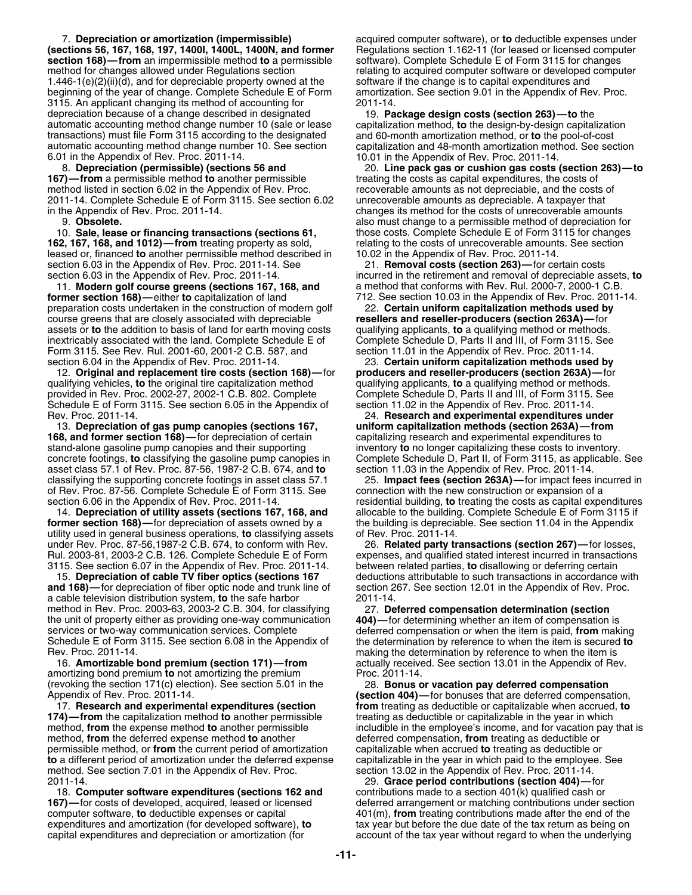**(sections 56, 167, 168, 197, 1400I, 1400L, 1400N, and former** Regulations section 1.162-11 (for leased or licensed computer **section 168)—from** an impermissible method to a permissible software). Complete Schedule E of Fo **section 168)—from** an impermissible method to a permissible method for changes allowed under Regulations section relating to acquired computer software or developed computer 1.446-1(e)(2)(ii)(d), and for depreciable property owned at the software if the change is to capital expenditures and<br>beginning of the year of change. Complete Schedule E of Form amortization. See section 9.01 in the Appen beginning of the year of change. Complete Schedule E of Form 3115. An applicant changing its method of accounting for 2011-14. depreciation because of a change described in designated 19. **Package design costs (section 263)—to** the automatic accounting method change number 10 (sale or lease capitalization method, **to** the design-by-design capitalization transactions) must file Form 3115 according to the designated and 60-month amortization method, or **to** the pool-of-cost automatic accounting method change number 10. See section capitalization and 48-month amortization method. See section

6.01 in the Appendix of Rev. Proc. 2011-14. 10.01 in the Appendix of Rev. Proc. 2011-14. method listed in section 6.02 in the Appendix of Rev. Proc. The proverable amounts as not depreciable, and the costs of<br>115. See section 6.02 Intercoverable amounts as depreciable. A taxpayer that 2011-14. Complete Schedule E of Form 3115. See section 6.02 unrecoverable amounts as depreciable. A taxpayer that

10. **Sale, lease or financing transactions (sections 61,** those costs. Complete Schedule E of Form 3115 for changes leased or, financed to another permissible method described in section 6.03 in the Appendix of Rev. Proc. 2011-14. See 21. **Removal costs (section 263)—**for certain costs

11. **Modern golf course greens (sections 167, 168, and** a method that conforms with Rev. Rul. 2000-7, 2000-1 C.B. **former section 168)—**either **to** capitalization of land 712. See section 10.03 in the Appendix of Rev. Proc. 2011-14. preparation costs undertaken in the construction of modern golf 22. **Certain uniform capitalization methods used by** course greens that are closely associated with depreciable assets or **to** the addition to basis of land for earth moving costs qualifying applicants, **to** a qualifying method or methods. inextricably associated with the land. Complete Schedule E of Form 3115. See Rev. Rul. 2001-60, 2001-2 C.B. 587, and section 11.01 in the Appendix of Rev. Proc. 2011-14. section 6.04 in the Appendix of Rev. Proc. 2011-14. 23. **Certain uniform capitalization methods used by**

12. **Original and replacement tire costs (section 168)—**for **producers and reseller-producers (section 263A)—**for qualifying vehicles, **to** the original tire capitalization method qualifying applicants, **to** a qualifying method or methods. provided in Rev. Proc. 2002-27, 2002-1 C.B. 802. Complete Schedule E of Form 3115. See section 6.05 in the Appendix of section 11.02 in the Appendix of Rev. Proc. 2011-14.

13. **Depreciation of gas pump canopies (sections 167, 168, and former section 168)—**for depreciation of certain experitalizing research and experimental expenditures to stand-alone gasoline pump canopies and their supporting inventory **to** no longer capitalizing these costs to inventory<br>concrete footings, to classifying the gasoline pump canopies in Complete Schedule D, Part II, of Form 3 asset class 57.1 of Rev. Proc. 87-56, 1987-2 C.B. 674, and **to** section 11.03 in the Appendix of Rev. Proc. 2011-14. of Rev. Proc. 87-56. Complete Schedule E of Form 3115. See connection with the new construction or expansion of a<br>section 6.06 in the Appendix of Rev. Proc. 2011-14. residential building, **to** treating the costs as capital

**former section 168)**—for depreciation of assets owned by a the building is depreciatility used in general business operations, **to** classifying assets of Rev. Proc. 2011-14. utility used in general business operations, to classifying assets under Rev. Proc. 87-56,1987-2 C.B. 674, to conform with Rev. 26. **Related party transactions (section 267)—**for losses, Rul. 2003-81, 2003-2 C.B. 126. Complete Schedule E of Form expenses, and qualified stated interest incurred in transactions 3115. See section 6.07 in the Appendix of Rev. Proc. 2011-14. between related parties, **to** disall 3115. See section 6.07 in the Appendix of Rev. Proc. 2011-14.<br>15. **Depreciation of cable TV fiber optics (sections 167** 

**and 168)—**for depreciation of fiber optic node and trunk line of section 267. See section 12.01 in the Appendix of Rev. Proc. a cable television distribution system, **to** the safe harbor 2011-14. method in Rev. Proc. 2003-63, 2003-2 C.B. 304, for classifying 27. **Deferred compensation determination (section** the unit of property either as providing one-way communication **404)—**for determining whether an item of compensation is services or two-way communication services. Complete deferred compensation or when the item is paid, **from** making Schedule E of Form 3115. See section 6.08 in the Appendix of the determination by reference to when the item is secured **to**

amortizing bond premium **to** not amortizing the premium Proc. 2011-14. (revoking the section 171(c) election). See section 5.01 in the 28. **Bonus or vacation pay deferred compensation**

17. **Research and experimental expenditures (section from** treating as deductible or capitalizable when accrued, **to 174)—from** the capitalization method **to** another permissible treating as deductible or capitalizable in the year in which method, **from** the deferred expense method to another deferred compensation, **from** treating as deductible or permissible method, or **from** the current period of amortization capitalizable when accrued **to** treating as deductible or **to** a different period of amortization under the deferred expense capitalizable in the year in which paid to the employee. See method. See method. See section 7.01 in the Appendix of Rev. Proc. 2011-14. method. See section 7.01 in the Appendix of Rev. Proc.

18. **Computer software expenditures (sections 162 and** contributions made to a section 401(k) qualified cash or computer software, **to** deductible expenses or capital 401(m), **from** treating contributions made after the end of the expenditures and amortization (for developed software), **to** tax year but before the due date of the tax return as being on

7. **Depreciation or amortization (impermissible)** acquired computer software), or **to** deductible expenses under

8. **Depreciation (permissible) (sections 56 and** 20. **Line pack gas or cushion gas costs (section 263)—to 167)—from** a permissible method **to** another permissible treating the costs as capital expenditures, the costs of changes its method for the costs of unrecoverable amounts 9. **Obsolete.** also must change to a permissible method of depreciation for relating to the costs of unrecoverable amounts. See section **10.02** in the Appendix of Rev. Proc. 2011-14.

section 6.03 in the Appendix of Rev. Proc. 2011-14. incurred in the retirement and removal of depreciable assets, **to**

Rev. Proc. 2011-14. 24. **Research and experimental expenditures under** Complete Schedule D, Part II, of Form 3115, as applicable. See

classifying the supporting concrete footings in asset class 57.1 25. **Impact fees (section 263A)—**for impact fees incurred in residential building, to treating the costs as capital expenditures 14. **Depreciation of utility assets (sections 167, 168, and** allocable to the building. Complete Schedule E of Form 3115 if **represent of Australian** allocable to the building is depreciable. See section 11.04 in the Appen

15. **Depreciation of cable TV fiber optics (sections 167** deductions attributable to such transactions in accordance with

Rev. Proc. 2011-14.<br>16. **Amortizable bond premium (section 171)—from** making the determination by reference to when the item is actually received. See section 13.01 in the Appendix of Rev.

(section 404)-for bonuses that are deferred compensation, method, from the expense method to another permissible includible in the employee's income, and for vacation pay that is

2011-14. 29. **Grace period contributions (section 404)—**for deferred arrangement or matching contributions under section account of the tax year without regard to when the underlying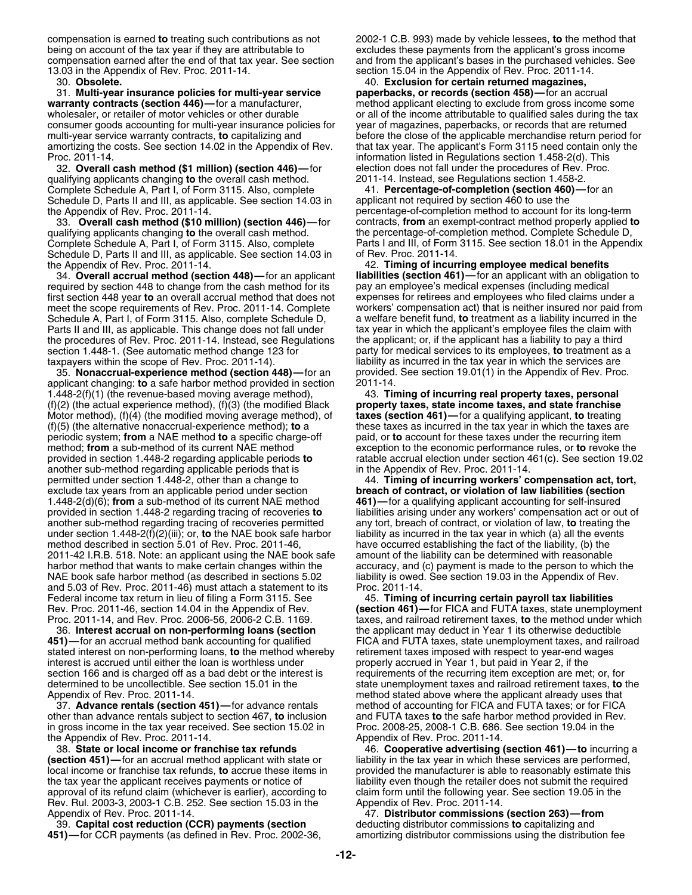compensation is earned **to** treating such contributions as not 2002-1 C.B. 993) made by vehicle lessees, **to** the method that being on account of the tax year if they are attributable to excludes these payments from the applicant's gross income compensation earned after the end of that tax year. See section and from the applicant's bases in the p

31. Multi-year insurance policies for multi-year service warranty contracts (section 446)—for a manufacturer, wholesaler, or retailer of motor vehicles or other durable or all of the income attributable to qualified sales during the tax consumer goods accounting for multi-year insurance policies for year of magazines, paperbacks, or records that are returned multi-year service warranty contracts, **to** capitalizing and before the close of the applicable merchandise return period for amortizing the costs. See section 14.02 in the Appendix of Rev. that tax year. The applicant's F amortizing the costs. See section 14.02 in the Appendix of Rev. Proc. 2011-14. information listed in Regulations section 1.458-2(d). This

32. **Overall cash method (\$1 million) (section 446)—**for election does not fall under the procedures of Rev. Proc. qualifying applicants changing **to** the overall cash method. Complete Schedule A, Part I, of Form 3115. Also, complete 41. **Percentage-of-completion (section 460)**—for an Schedule D, Parts II and III, as applicable. See section 14.03 in applicant not required by section 460 to use t Schedule D, Parts II and III, as applicable. See section 14.03 in the Appendix of Rev. Proc. 2011-14.

qualifying applicants changing to the overall cash method. Schedule D, Parts II and III, as applicable. See section 14.03 in

34. **Overall accrual method (section 448)—**for an applicant **liabilities (section 461)—**for an applicant with an obliga<br>quired by section 448 to change from the cash method for its pay an employee's medical expenses (inclu required by section 448 to change from the cash method for its pay an employee's medical expenses (including medical<br>first section 448 year to an overall accrual method that does not expenses for retirees and employees who first section 448 year **to** an overall accrual method that does not expenses for retirees and employees who filed claims under a meet the scope requirements of Rev. Proc. 2011-14. Complete workers' compensation act) that is neither insured nor paid from<br>Schedule A, Part I, of Form 3115. Also, complete Schedule D, a welfare benefit fund, to treatment Schedule A, Part I, of Form 3115. Also, complete Schedule D, a welfare benefit fund, to treatment as a liability incurred in the<br>Parts II and III, as applicable. This change does not fall under tax year in which the applic Parts II and III, as applicable. This change does not fall under tax year in which the applicant's employee files the claim with the procedures of Rev. Proc. 2011-14. Instead, see Regulations the applicant; or, if the appl the procedures of Rev. Proc. 2011-14. Instead, see Regulations section 1.448-1. (See automatic method change 123 for party for medical services to its employees, **to** treatment as a

35. **Nonaccrual-experience method (section 448)—** for an provided<br>oplicant changing: to a safe harbor method provided in section 2011-14. applicant changing: **to** a safe harbor method provided in section 2011-14.<br>1.448-2(f)(1) (the revenue-based moving average method), 23. Timing of incurring real property taxes, personal 1.448-2(f)(1) (the revenue-based moving average method), 43. **Timing of incurring real property taxes, personal** (f)(2) (the actual experience method), (f)(3) (the modified Black **property taxes, state income taxes, and state franchise** Motor method), (f)(4) (the modified moving average method), of **(f)(5)** (the alternative nonaccrual-experience method); **to** a periodic system; **from** a NAE method **to** a specific charge-off paid, or **to** account for these taxes under the recurring item method; **from** a sub-method of its current NAE method exception to the economic performance rules, or **to** revoke the provided in section 1.448-2 regarding applicable periods **to** ratable accrual election under section 461(c). See section 19.02 another sub-method regarding applicable periods that is permitted under section 1.448-2, other than a change to 44. **Timing of incurring workers' compensation act, tort,** exclude tax years from an applicable period under section **breach of contract, or violation of law liabilities (section** provided in section 1.448-2 regarding tracing of recoveries **to** liabilities arising under any workers' compensation act or out of another sub-method regarding tracing of recoveries permitted any tort, breach of contract, or violation of law, **to** treating the under section 1.448-2(f)(2)(iii); or, **to** the NAE book safe harbor liability as incurred in under section 1.448-2(f) $(2)$ (iii); or, **to** the NAE book safe harbor method described in section 5.01 of Rev. Proc. 2011-46, have occurred establishing the fact of the liability, (b) the<br>1911-42 I.R.B. 518. Note: an applicant using the NAE book safe amount of the liability can be determined 2011-42 I.R.B. 518. Note: an applicant using the NAE book safe harbor method that wants to make certain changes within the NAE book safe harbor method (as described in sections 5.02 liability is owed. See section 19.03 in the Appendix of Rev. and 5.03 of Rev. Proc. 2011-46) must attach a statement to its Proc. 2011-14. Federal income tax return in lieu of filing a Form 3115. See 45. **Timing of incurring certain payroll tax liabilities**<br>Rev. Proc. 2011-46, section 14.04 in the Appendix of Rev. **(section 461)—**for FICA and FUTA taxes, stat

36. **Interest accrual on non-performing loans (section** the applicant may deduct in Year 1 its otherwise deductible **451)—**for an accrual method bank accounting for qualified FICA and FUTA taxes, state unemployment taxes, and railroad stated interest on non-performing loans, **to** the method whereby retirement taxes imposed with respect to year-end wages interest is accrued until either the loan is worthless under properly accrued in Year 1, but paid in interest is accrued until either the loan is worthless under section 166 and is charged off as a bad debt or the interest is requirements of the recurring item exception are met; or, for determined to be uncollectible. See section 15.01 in the state unemployment taxes and railroad retirement taxes, **to** the state unemployment taxes and railroad retirement taxes, **to** the state of the state of the state of

37. **Advance rentals (section 451)—**for advance rentals method of accounting for FICA and FUTA taxes; or for FICA other than advance rentals subject to section 467, **to** inclusion and FUTA taxes **to** the safe harbor method provided in Rev. in gross income in the tax year received. See section 15.02 in the Appendix of Rev. Proc. 2011-14. Appendix of Rev. Proc. 2011-14.

**(section 451)—** for an accrual method applicant with state or liability in the tax year in which these services are performed,<br>local income or franchise tax refunds, **to** accrue these items in provided the manufacturer is local income or franchise tax refunds, **to** accrue these items in the tax year the applicant receives payments or notice of approval of its refund claim (whichever is earlier), according to claim form until the following year. See section 19.05 in the Rev. Rul. 2003-3, 2003-1 C.B. 252. See section 15.03 in the Appendix of Rev. Proc. 2011-14. Rev. Rul. 2003-3, 2003-1 C.B. 252. See section 15.03 in the Appendix of Rev. Proc. 2011-14. 47. **Distributor commissions (section 263)—from**

39. **Capital cost reduction (CCR) payments (section** deducting distributor commissions **to** capitalizing and

and from the applicant's bases in the purchased vehicles. See 13.03 in the Appendix of Rev. Proc. 2011-14. section 15.04 in the Appendix of Rev. Proc. 2011-14.

30. **Obsolete.** 40. **Exclusion for certain returned magazines,** method applicant electing to exclude from gross income some

percentage-of-completion method to account for its long-term 33. **Overall cash method (\$10 million) (section 446)—**for contracts, **from** an exempt-contract method properly applied **to** Complete Schedule A, Part I, of Form 3115. Also, complete Parts I and III, of Form 3115. See section 18.01 in the Appendix<br>Schedule D, Parts II and III, as applicable. See section 14.03 in of Rev. Proc. 2011-14.

the Appendix of Rev. Proc. 2011-14. 42. **Timing of incurring employee medical benefits** taxpayers within the scope of Rev. Proc. 2011-14). liability as incurred in the tax year in which the services are<br>.35. **Nonaccrual-experience method (section 448)**—for an provided. See section 19.01(1) in the Appendix of

these taxes as incurred in the tax year in which the taxes are

**461)-for a qualifying applicant accounting for self-insured** accuracy, and (c) payment is made to the person to which the

Rev. Proc. 2011-46, section 14.04 in the Appendix of Rev. **(section 461)—**for FICA and FUTA taxes, state unemployment<br>Proc. 2011-14, and Rev. Proc. 2006-56, 2006-2 C.B. 1169. **by the analy and railroad retirement taxes, to** taxes, and railroad retirement taxes, to the method under which method stated above where the applicant already uses that

38. **State or local income or franchise tax refunds** 46. **Cooperative advertising (section 461)—to** incurring a liability even though the retailer does not submit the required

amortizing distributor commissions using the distribution fee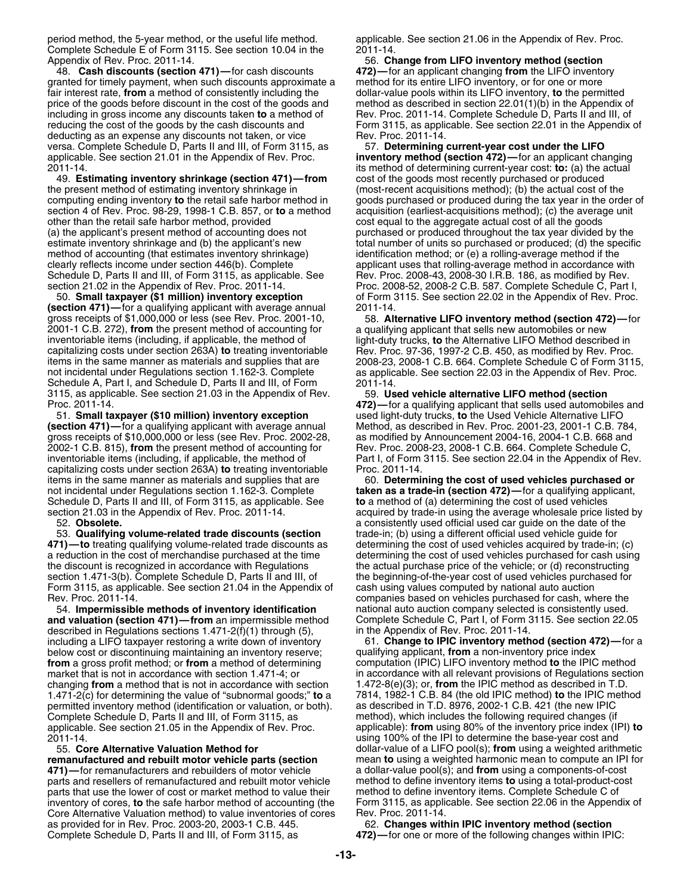period method, the 5-year method, or the useful life method. applicable. See section 21.06 in the Appendix of Rev. Proc. Complete Schedule E of Form 3115. See section 10.04 in the 2011-14.<br>Appendix of Rev. Proc. 2011-14.

granted for timely payment, when such discounts approximate a method for its entire LIFO inventory, or for one or more<br>fair interest rate, **from** a method of consistently including the dollar-value pools within its LIFO in fair interest rate, **from** a method of consistently including the dollar-value pools within its LIFO inventory, **to** the permitted price of the goods before discount in the cost of the goods and including in gross income any discounts taken to a method of Rev. Proc. 2011-14. Complete Schedule D, Parts II and III, of reducing the cost of the goods by the cash discounts and Form 3115, as applicable. See section 22.01 in the Appendix of deducting as an expense any discounts not taken, or vice Rev. Proc. 2011-14. versa. Complete Schedule D, Parts II and III, of Form 3115, as 57. **Determining current-year cost under the LIFO** applicable. See section 21.01 in the Appendix of Rev. Proc. **inventory method (section 472)—**for an applicant changing

the present method of estimating inventory shrinkage in (most-recent acquisitions method); (b) the actual cost of the section 4 of Rev. Proc. 98-29, 1998-1 C.B. 857, or **to** a method other than the retail safe harbor method, provided cost equal to the aggregate actual cost of all the goods (a) the applicant's present method of accounting does not purchased or produced throughout the tax year divided by the method of accounting (that estimates inventory shrinkage) identification method; or (e) a rolling-average method if the clearly reflects income under section 446(b). Complete applicant uses that rolling-average method in accordance with<br>Schedule D, Parts II and III, of Form 3115, as applicable. See Rev. Proc. 2008-43, 2008-30 I.R.B. 186, as Schedule D, Parts II and III, of Form 3115, as applicable. See

**(section 471)—** for a qualifying applicant with average annual 2011-14.<br>gross receipts of \$1,000,000 or less (see Rev. Proc. 2001-10, 58. Alt 2001-1 C.B. 272), **from** the present method of accounting for a qualifying applicant that sells new automobiles or new capitalizing costs under section 263A) **to** treating inventoriable Rev. Proc. 97-36, 1997-2 C.B. 450, as modified by Rev. Proc. Schedule A, Part I, and Schedule D, Parts II and III, of Form 3115, as applicable. See section 21.03 in the Appendix of Rev. 59. **Used vehicle alternative LIFO method (section**

gross receipts of \$10,000,000 or less (see Rev. Proc. 2002-28, as modified by Announcement 2004-16, 2004-1 C.B. 668 and 2002-1 C.B. 815), from the present method of accounting for Rev. Proc. 2008-23, 2008-1 C.B. 664. Complete Schedule C, capitalizing costs under section 263A) **to** treating inventoriable Proc. 2011-14. items in the same manner as materials and supplies that are 60. **Determining the cost of used vehicles purchased or** not incidental under Regulations section 1.162-3. Complete **taken as a trade-in (section 472)—**for a qualifying applicant,<br>Schedule D, Parts II and III, of Form 3115, as applicable. See **to** a method of (a) determining the

53. Qualifying volume-related trade discounts (section **471)—to** treating qualifying volume-related trade discounts as determining the cost of used vehicles acquired by trade-in; (c)<br>a reduction in the cost of merchandise purchased at the time determining the cost of used vehi a reduction in the cost of merchandise purchased at the time the discount is recognized in accordance with Regulations section 1.471-3(b). Complete Schedule D, Parts II and III, of the beginning-of-the-year cost of used vehicles purchased for Form 3115, as applicable. See section 21.04 in the Appendix of cash using values computed by national auto auction Rev. Proc. 2011-14. companies based on vehicles purchased for cash, where the

54. **Impermissible methods of inventory identification** national auto auction company selected is consistently used. described in Regulations sections  $1.471-2(f)(1)$  through (5), in the Appendix of Rev. Proc. 2011-14.<br>including a LIFO taxpayer restoring a write down of inventory 61. **Change to IPIC inventory meth** below cost or discontinuing maintaining an inventory reserve; qualifying applicant, **from** a non-inventory price index **from** a gross profit method; or **from** a method of determining market that is not in accordance with section 1.471-4; or changing **from** a method that is not in accordance with section 1.472-8(e)(3); or, **from** the IPIC method as described in T.D. 1.471-2(c) for determining the value of "subnormal goods;" **to**<sup>a</sup> 7814, 1982-1 C.B. 84 (the old IPIC method) **to** the IPIC method permitted inventory method (identification or valuation, or both). Complete Schedule D, Parts II and III, of Form 3115, as method), which includes the following required changes (if<br>applicable. See section 21.05 in the Appendix of Rev. Proc. applicable): **from** using 80% of the inventory

parts and resellers of remanufactured and rebuilt motor vehicle method to define inventory items **to** using a total-product-contracts parts that use the lower of cost or market method to value their method to define invent parts that use the lower of cost or market method to value their<br>inventory of cores, to the safe harbor method of accounting (the Core Alternative Valuation method) to value inventories of cores Rev. Proc. 2011-14.<br>as provided for in Rev. Proc. 2003-20, 2003-1 C.B. 445. [62. Changes within IPIC inventory method (section as provided for in Rev. Proc. 2003-20, 2003-1 C.B. 445.<br>Complete Schedule D, Parts II and III, of Form 3115, as

ppendix of Rev. Proc. 2011-14.<br>48. **Cash discounts (section 471)**—for cash discounts **172)—for an applicant changing from the LIFO invento** 472)—for an applicant changing from the LIFO inventory

2011-14. its method of determining current-year cost: **to:** (a) the actual cost of the goods most recently purchased or produced computing ending inventory **to** the retail safe harbor method in goods purchased or produced during the tax year in the order of estimate inventory shrinkage and (b) the applicant's new total number of units so purchased or produced; (d) the specific section 21.02 in the Appendix of Rev. Proc. 2011-14. Proc. 2008-52, 2008-2 C.B. 587. Complete Schedule C, Part I, 50. **Small taxpayer (\$1 million) inventory exception** of Form 3115. See section 22.02 in the Appendix of Rev. Proc.

58. Alternative LIFO inventory method (section 472)-for light-duty trucks, to the Alternative LIFO Method described in items in the same manner as materials and supplies that are 2008-23, 2008-1 C.B. 664. Complete Schedule C of Form 3115, not incidental under Regulations section 1.162-3. Complete as applicable. See section 22.03 in the App as applicable. See section 22.03 in the Appendix of Rev. Proc.<br>2011-14.

Proc. 2011-14. **472)—**for a qualifying applicant that sells used automobiles and 51. **Small taxpayer (\$10 million) inventory exception** used light-duty trucks, **to** the Used Vehicle Alternative LIFO Method, as described in Rev. Proc. 2001-23, 2001-1 C.B. 784, inventoriable items (including, if applicable, the method of Part I, of Form 3115. See section 22.04 in the Appendix of Rev.

to a method of (a) determining the cost of used vehicles section 21.03 in the Appendix of Rev. Proc. 2011-14. acquired by trade-in using the average wholesale price listed by<br>52. **Obsolete.** a consistently used official used car quide on the date of the a consistently used official used car guide on the date of the trade-in; (b) using a different official used vehicle guide for the actual purchase price of the vehicle; or (d) reconstructing Complete Schedule C, Part I, of Form 3115. See section 22.05

61. Change to IPIC inventory method (section 472)-for a in accordance with all relevant provisions of Regulations section applicable): from using 80% of the inventory price index (IPI) to 2011-14. using 100% of the IPI to determine the base-year cost and 55. **Core Alternative Valuation Method for** dollar-value of a LIFO pool(s); **from** using a weighted arithmetic **remanufactured and rebuilt motor vehicle parts (section** mean **to** using a weighted harmonic mean to compute an IPI for a dollar-value pool(s); and **from** using a components-of-cost method to define inventory items **to** using a total-product-cost Form 3115, as applicable. See section 22.06 in the Appendix of

**472)**—for one or more of the following changes within IPIC: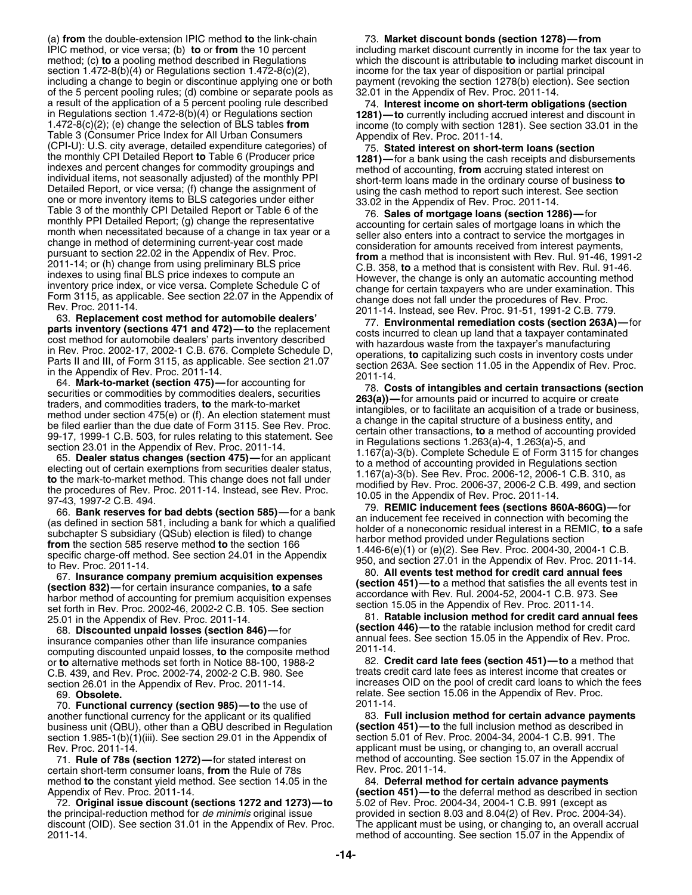(a) **from** the double-extension IPIC method **to** the link-chain 73. **Market discount bonds (section 1278)—from** IPIC method, or vice versa; (b) **to** or **from** the 10 percent including market discount currently in income for the tax year to method; (c) **to** a pooling method described in Regulations which the discount is attributable section  $1.472-8(b)(4)$  or Regulations section  $1.472-8(c)(2)$ , income for the tax year of disposition or partial principal including a change to begin or discontinue applying one or both payment (revoking the section 1278(b) election). See section<br>of the 5 percent pooling rules; (d) combine or separate pools as 32.01 in the Appendix of Rev. Pr of the 5 percent pooling rules; (d) combine or separate pools as a result of the application of a 5 percent pooling rule described<br>
in Regulations section 1.472-8(b)(4) or Regulations section<br>
1.472-8(c)(2); (e) change the selection of BLS tables **from**<br>
Table 3 (Consumer Price Index fo (CPI-U): U.S. city average, detailed expenditure categories) of the monthly CPI Detailed Report to Table 6 (Producer price indexes and percent changes for commodity groupings and individual items, not seasonally adjusted) Detailed Report. or vice versa. (f) change the assignment of using the cash mento to report at the mento of the case assignment of the case of the case of more in the special of the case of the case of the case of the cas

25.01 in the Appendix of Rev. Proc. 2011-14. 81. **Ratable inclusion method for credit card annual fees**

insurance companies other than life insurance companies<br>
computing discounted unpaid losses, **to** the composite method<br>
or **to** alternative methods set forth in Notice 88-100, 1988-2<br>
2011-14.<br>
2011-14.<br>
2011-14.<br>
2011-14. or to alternative methods set forth in Notice 88-100, 1988-2 section 26.01 in the Appendix of Rev. Proc. 2011-14.

70. **Functional currency (section 985)—to** the use of  $\qquad 2011-14$ .<br>nother functional currency for the applicant or its qualified **83. Full inclusion method for certain advance payments** another functional currency for the applicant or its qualified **83. Full inclusion method for certain advance paymer**<br>business unit (QBU), other than a QBU described in Regulation (section 451)—to the full inclusion method business unit (QBU), other than a QBU described in Regulation **(section 451)—to** the full inclusion method as described i<br>section 1.985-1(b)(1)(iii). See section 29.01 in the Appendix of section 5.01 of Rev. Proc. 2004-34, section 1.985-1(b)(1)(iii). See section 29.01 in the Appendix of<br>Rev. Proc. 2011-14.

71. **Rule of 78s (section 1272)—**for stated interest on method of accounting. See section 15.07 in the Appendix of certain short-term consumer loans, from the Rule of 78s method **to** the constant yield method. See section 14.05 in the 84. **Deferral method for certain advance payments**

72. Original issue discount (sections 1272 and 1273)-to the principal-reduction method for *de minimis* original issue provided in section 8.03 and 8.04(2) of Rev. Proc. 2004-34). discount (OID). See section 31.01 in the Appendix of Rev. Proc. The applicant must be using, or changing to, an overall accrual

which the discount is attributable **to** including market discount in

**(section 446)—to** the ratable inclusion method for credit card 68. **Discounted unpaid losses (section 846)—**for

C.B. 439, and Rev. Proc. 2002-74, 2002-2 C.B. 980. See treats credit card late fees as interest income that creates or<br>section 26.01 in the Appendix of Rev. Proc. 2011-14. increases OID on the pool of credit card loans to 69. **Obsolete.** relate. See section 15.06 in the Appendix of Rev. Proc.

applicant must be using, or changing to, an overall accrual

Appendix of Rev. Proc. 2011-14.<br>72. **Original issue discount (sections 1272 and 1273)—to** 5.02 of Rev. Proc. 2004-34, 2004-1 C.B. 991 (except as method of accounting. See section 15.07 in the Appendix of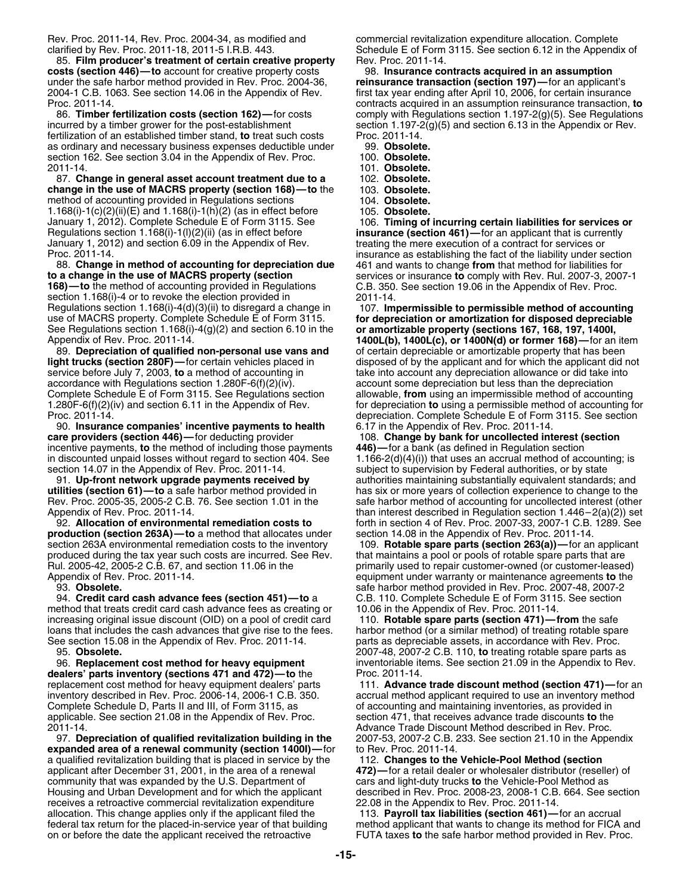85. **Film producer's treatment of certain creative property** Rev. Proc. 2011-14.<br>**osts (section 446)—to** account for creative property costs **98. Insurance contracts acquired in an assumption costs (section 446)—to** account for creative property costs under the safe harbor method provided in Rev. Proc. 2004-36, **reinsurance transaction (section 197)—**for an applicant's 2004-1 C.B. 1063. See section 14.06 in the Appendix of Rev. first tax year ending after April 10, 2006, for certain insurance

incurred by a timber grower for the post-establishment section 1.197-2(g)(5) and section 6.13 in the Appendix or Rev.<br>
fertilization of an established timber stand, to treat such costs Proc. 2011-14. fertilization of an established timber stand, **to** treat such costs as ordinary and necessary business expenses deductible under 99. **Obsolete.** section 162. See section 3.04 in the Appendix of Rev. Proc. 100. **Obsolete.** 2011-14. 101. **Obsolete.**

87. **Change in general asset account treatment due to a** 102. **Obsolete. change in the use of MACRS property (section 168)—to** the 103. Obsolete.<br>method of accounting provided in Regulations sections 104. Obsolete. method of accounting provided in Regulations sections 1.168(i)-1(c)(2)(ii)(E) and 1.168(i)-1(h)(2) (as in effect before 105. **Obsolete.** January 1, 2012). Complete Schedule E of Form 3115. See 106. **Timing of incurring certain liabilities for services or**<br>Regulations section 1.168(i)-1(l)(2)(ii) (as in effect before **insurance (section 461)**—for an applican January 1, 2012) and section 6.09 in the Appendix of Rev.<br>Froc. 2011-14. Translange as establishing the fact of the liability under s

**to a change in the use of MACRS property (section** services or insurance **to** comply with Rev. Rul. 2007-3, 2007-1 **168)—to** the method of accounting provided in Regulations C.B. 350. See section 19.06 in the Appendix of Rev. Proc. section 1.168(i)-4 or to revoke the election provided in 2011-14.<br>Regulations section 1.168(i)-4(d)(3)(ii) to disregard a change in 107. **Im** Regulations section 1.168(i)-4(d)(3)(ii) to disregard a change in 107. **Impermissible to permissible method of accounting**<br>use of MACRS property. Complete Schedule E of Form 3115. **for depreciation or amortization for disp** See Regulations section 1.168(i)-4(g)(2) and section 6.10 in the **or amortizable property (sections 167, 168, 197, 1400I,**

89. **Depreciation of qualified non-personal use vans and** of certain depreciable or amortizable property that has been **light trucks (section 280F)—**for certain vehicles placed in disposed of by the applicant and for which the applicant did not service before July 7, 2003, to a method of accounting in take into account any depreciation all service before July 7, 2003, **to** a method of accounting in take into account any depreciation allowance or did take into accordance with Regulations section 1.280F-6(f)(2)(iv). account some depreciation but less than the Complete Schedule E of Form 3115. See Regulations section

90. **Insurance companies' incentive payments to health care providers (section 446)—**for deducting provider 108. **Change by bank for uncollected interest (section** incentive payments, **to** the method of including those payments **446)—**for a bank (as defined in Regulation section in discounted unpaid losses without regard to section 404. See section 14.07 in the Appendix of Rev. Proc. 2011-14.

**production (section 263A)—to** a method that allocates under section 14.08 in the Appendix of Rev. Proc. 2011-14. section 263A environmental remediation costs to the inventory 109. **Rotable spare parts (section 263(a))**—for an applicant produced during the tax year such costs are incurred. See Rev. that maintains a pool or pools of rotable spare parts that are<br>Rul. 2005-42, 2005-2 C.B. 67, and section 11.06 in the primarily used to repair customer-owned (

94. **Credit card cash advance fees (section 451)—to**<sup>a</sup> C.B. 110. Complete Schedule E of Form 3115. See section method that treats credit card cash advance fees as creating or 10.06 in the Appendix of Rev. Proc. 2011-14.<br>increasing original issue discount (OID) on a pool of credit card 110. **Rotable spare parts (section 471)—from** t increasing original issue discount (OID) on a pool of credit card loans that includes the cash advances that give rise to the fees. harbor method (or a similar method) of treating rotable spare See section 15.08 in the Appendix of Rev. Proc. 2011-14. parts as depreciable assets, in accordance with Rev. Proc.

**dealers' parts inventory (sections 471 and 472)-to** the applicable. See section 21.08 in the Appendix of Rev. Proc. section 471, that receives advance trade discounts **to** the<br>Advance Trade Discount Method described in Rev. Proc.

**expanded area of a renewal community (section 1400I)—for to Rev. Proc. 2011-14.** a qualified revitalization building that is placed in service by the 112. **Changes to the Vehicle-Pool Method (section** applicant after December 31, 2001, in the area of a renewal community that was expanded by the U.S. Department of cars and light-duty trucks **to** the Vehicle-Pool Method as Housing and Urban Development and for which the applicant described in Rev. Proc. 2008-23, 2008-1 C.B. 664. See section<br>The appendix to Rev. Proc. 2011-14. receives a retroactive commercial revitalization expenditure allocation. This change applies only if the applicant filed the 113. **Payroll tax liabilities (section 461)—**for an accrual federal tax return for the placed-in-service year of that building method applicant that wants to change its method for FICA and<br>on or before the date the applicant received the retroactive FUTA taxes to the safe harbor me

Rev. Proc. 2011-14, Rev. Proc. 2004-34, as modified and commercial revitalization expenditure allocation. Complete clarified by Rev. Proc. 2011-18, 2011-5 I.R.B. 443. Schedule E of Form 3115. See section 6.12 in the Appendix of<br>85. Film producer's treatment of certain creative property Rev. Proc. 2011-14.

Proc. 2011-14. contracts acquired in an assumption reinsurance transaction, **to** comply with Regulations section 1.197-2(g)(5). See Regulations

- 
- 
- 
- 
- 
- 
- 

insurance (section 461)-for an applicant that is currently roc. 2011-14.<br>88. Change in method of accounting for depreciation due 461 and wants to change from that method for liabilities for 88. **Change in method of accounting for depreciation due** 461 and wants to change **from** that method for liabilities for

for depreciation or amortization for disposed depreciable 1400L(b), 1400L(c), or 1400N(d) or former 168)—for an item account some depreciation but less than the depreciation<br>allowable, from using an impermissible method of accounting 1.280F-6(f)(2)(iv) and section 6.11 in the Appendix of Rev. for depreciation **to** using a permissible method of accounting for depreciation. Complete Schedule E of Form 3115. See section 6.17 in the Appendix of Rev. Proc. 2011-14.

ection 14.07 in the Appendix of Rev. Proc. 2011-14. subject to supervision by Federal authorities, or by state<br>91. **Up-front network upgrade payments received by** example authorities maintaining substantially equivalent st authorities maintaining substantially equivalent standards; and **utilities (section 61)—to** a safe harbor method provided in has six or more years of collection experience to change to the<br>Rev. Proc. 2005-35, 2005-2 C.B. 76. See section 1.01 in the safe harbor method of accounting for safe harbor method of accounting for uncollected interest (other Appendix of Rev. Proc. 2011-14.<br>92. **Allocation of environmental remediation costs to** forth in section 4 of Rev. Proc. 2007-33, 2007-1 C.B. 1289. See forth in section 4 of Rev. Proc. 2007-33, 2007-1 C.B. 1289. See

primarily used to repair customer-owned (or customer-leased) Appendix of Rev. Proc. 2011-14. equipment under warranty or maintenance agreements **to** the 93. **Obsolete.** safe harbor method provided in Rev. Proc. 2007-48, 2007-2

95. **Obsolete.** 2007-48, 2007-2 C.B. 110, **to** treating rotable spare parts as inventoriable items. See section 21.09 in the Appendix to Rev.<br>Proc. 2011-14.

replacement cost method for heavy equipment dealers' parts 111. **Advance trade discount method (section 471)**—for an inventory method (section 471)—for an inventory method (section 471)—for an inventory method inventory described in Rev. Proc. 2006-14, 2006-1 C.B. 350. accrual method applicant required to use an inventory method<br>Complete Schedule D, Parts II and III, of Form 3115, as being the accounting and maintaining inventor of accounting and maintaining inventories, as provided in Advance Trade Discount Method described in Rev. Proc. 97. **Depreciation of qualified revitalization building in the** 2007-53, 2007-2 C.B. 233. See section 21.10 in the Appendix

FUTA taxes **to** the safe harbor method provided in Rev. Proc.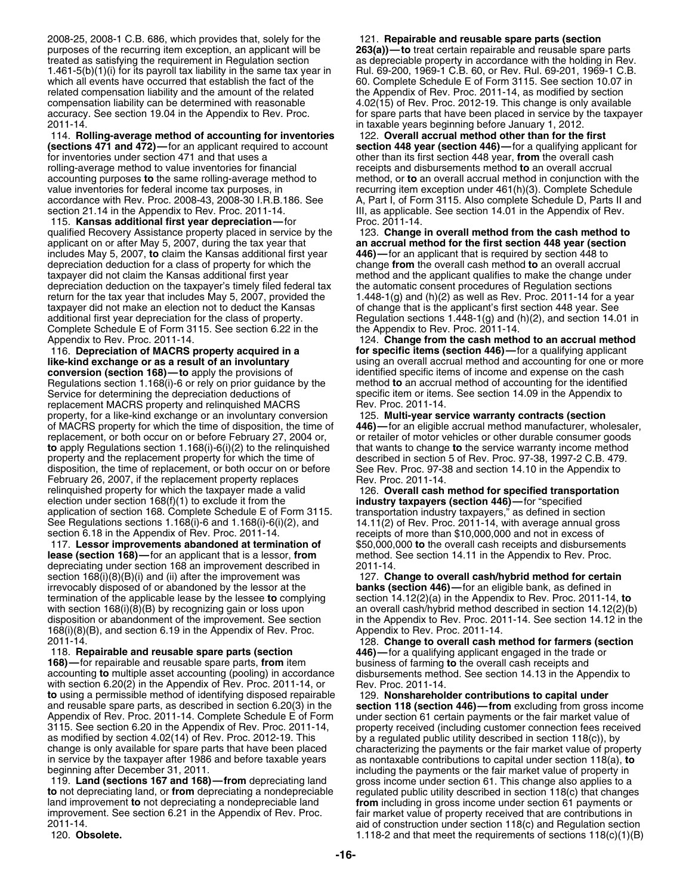2008-25, 2008-1 C.B. 686, which provides that, solely for the 121. **Repairable and reusable spare parts (section** purposes of the recurring item exception, an applicant will be **263(a))—to** treat certain repairable and reusable spare parts 1.461-5(b)(1)(i) for its payroll tax liability in the same tax year in Rul. 69-200, 1969-1 C.B. 60, or Rev. Rul. 69-201, 1969-1 C.B. which all events have occurred that establish the fact of the 60. Complete Schedule E of Form 3115. See section 10.07 in<br>
related compensation liability and the amount of the related the Appendix of Rev. Proc. 2011-14, as compensation liability can be determined with reasonable 4.02(15) of Rev. Proc. 2012-19. This change is only available

**(sections 471 and 472)—**for an applicant required to account **section 448 year (section 446)—**for a qualifying applicant for for inventories under section 471 and that uses a **other than its first section 448 year**, **from** the overall cash rolling-average method to value inventories for financial receipts and disbursements method **to** an overall accrual accrual method in conjunction with accounting purposes **to** the same rolling-average method to method, or value inventories for federal income tax purposes, in excurring item exception under 461(h)(3). Complete Schedule<br>Scordance with Rev. Proc. 2008-43, 2008-30 I.R.B.186. See A, Part I, of Form 3115. Also complete Schedule D, section 21.14 in the Appendix to Rev. Proc. 2011-14. **III, as applicable. See section 14.01** in the Appendix of Rev.

115. **Kansas additional first year depreciation—**for Proc. 2011-14. qualified Recovery Assistance property placed in service by the 123. **Change in overall method from the cash method to**<br>an **accrual method for the first section 448 year (section**<br>**an accrual method for the first section 4** includes May 5, 2007, **to** claim the Kansas additional first year **446)—**for an applicant that is required by section 448 to depreciation deduction for a class of property for which the change **from** the overall cash method **to** an overall accrual taxpayer did not claim the Kansas additional first year method and the applicant qualifies to make the change under depreciation deduction on the taxpayer's timely filed federal tax the automatic consent procedures of Regulation sections return for the tax year that includes May 5, 2007, provided the 1.448-1(g) and (h)(2) as well as Rev. Proc. 2011-14 for a year<br>taxpayer did not make an election not to deduct the Kansas of change that is the applicant's fi taxpayer did not make an election not to deduct the Kansas additional first year depreciation for the class of property. Regulation sections 1.448-1(g) and (h)(2), and section 14.01 in Complete Schedule E of Form 3115. See section 6.22 in the the Appendix to Rev. Proc. 2011-14.<br>Appendix to Rev. Proc. 2011-14.<br>124. Change from the cash metho

116. **Depreciation of MACRS property acquired in a for specific items (section 446)—**for a qualifying applicant **like-kind exchange or as a result of an involuntary** using an overall accrual method and accounting for one or more conversion (section 168)—to apply the provisions of dentified specific items of income and expense on the Regulations section 1.168(i)-6 or rely on prior guidance by the Service for determining the depreciation deductions of specific item or items. See section 14.09 in the Appendix to replacement MACRS property and relinquished MACRS Rev. Proc. 2011-14.<br>
property, for a like-kind exchange or an involuntary conversion 125. Multi-year service warranty contracts (section property, for a like-kind exchange or an involuntary conversion of MACRS property for which the time of disposition, the time of **446)—**for an eligible accrual method manufacturer, wholesaler, replacement, or both occur on or before February 27, 2004 or, or retailer of motor vehicles or other durable consumer goods<br>to apply Regulations section 1.168(i)-6(i)(2) to the relinquished that wants to change to the serv **to** apply Regulations section 1.168(i)-6(i)(2) to the relinquished property and the replacement property for which the time of described in section 5 of Rev. Proc. 97-38, 1997-2 C.B. 479.<br>disposition, the time of replacement, or both occur on or before See Rev. Proc. 97-38 and section 14. disposition, the time of replacement, or both occur on or before See Rev. Proc. 97-3<br>February 26, 2007, if the replacement property replaces Rev. Proc. 2011-14. February 26, 2007, if the replacement property replaces relinquished property for which the taxpayer made a valid 126. **Overall cash method for specified transportation**<br>election under section 168(f)(1) to exclude it from the **industry taxpayers (section 446)**—for "specified election under section 168(f)(1) to exclude it from the application of section 168. Complete Schedule E of Form 3115. transportation industry taxpayers," as defined in section<br>See Regulations sections 1.168(i)-6 and 1.168(i)-6(i)(2), and 14.11(2) of Rev. Proc. 2011-14, with ave See Regulations sections  $1.168(i)$ -6 and  $1.168(i)$ -6(i)(2), and section 6.18 in the Appendix of Rev. Proc. 2011-14.

117. **Lessor improvements abandoned at termination of** \$50,000,000 **to** the overall cash receipts and disbursements **lease (section 168)—for an applicant that is a lessor, from** depreciating under section 168 an improvement described in 2011-14.<br>section 168(i)(8)(B)(i) and (ii) after the improvement was 127. Ch irrevocably disposed of or abandoned by the lessor at the **banks (section 446)—**for an eligible bank, as defined in termination of the applicable lease by the lessee **to** complying section 14.12(2)(a) in the Appendix to Rev. Proc. 2011-14, **to** 168(i)(8)(B), and section 6.19 in the Appendix of Rev. Proc.<br>2011-14.

accounting **to** multiple asset accounting (pooling) in accordance with section 6.20(2) in the Appendix of Rev. Proc. 2011-14, or Rev. Proc. 2011-14.<br>to using a permissible method of identifying disposed repairable 129. **Nonsharehol to** using a permissible method of identifying disposed repairable 129. **Nonshareholder contributions to capital under** and reusable spare parts, as described in section 6.20(3) in the **section 118 (section 446)—from** excluding from gross income Appendix of Rev. Proc. 2011-14. Complete Schedule E of Form under section 61 certain payments or the fair market value of<br>3115. See section 6.20 in the Appendix of Rev. Proc. 2011-14, property received (including customer 3115. See section 6.20 in the Appendix of Rev. Proc. 2011-14, property received (including customer connection fees received as modified by section 4.02(14) of Rev. Proc. 2012-19. This by a regulated public utility describ as modified by section 4.02(14) of Rev. Proc. 2012-19. This by a regulated public utility described in section 118(c)), by change is only available for spare parts that have been placed changed reproduced in section 118(c)

**to** not depreciating land, or **from** depreciating a nondepreciable regulated public utility described in section 118(c) that changes land improvement **to** not depreciating a nondepreciable land **from** including in gross i improvement. See section 6.21 in the Appendix of Rev. Proc. fair market value of property received that are contributions in

as depreciable property in accordance with the holding in Rev. the Appendix of Rev. Proc. 2011-14, as modified by section accuracy. See section 19.04 in the Appendix to Rev. Proc. for spare parts that have been placed in service by the taxpayer<br>2011-14. in taxable years beginning before January 1, 2012. in taxable years beginning before January 1, 2012

114. **Rolling-average method of accounting for inventories** 122. **Overall accrual method other than for the first** method, or **to** an overall accrual method in conjunction with the A, Part I, of Form 3115. Also complete Schedule D, Parts II and

an accrual method for the first section 448 year (section

124. Change from the cash method to an accrual method identified specific items of income and expense on the cash method to an accrual method of accounting for the identified

receipts of more than \$10,000,000 and not in excess of

127. Change to overall cash/hybrid method for certain with section 168(i)(8)(B) by recognizing gain or loss upon an overall cash/hybrid method described in section 14.12(2)(b)<br>disposition or abandonment of the improvement. See section an the Appendix to Rev. Proc. 2011-14. Se in the Appendix to Rev. Proc. 2011-14. See section 14.12 in the Appendix to Rev. Proc. 2011-14.

2011-14. 128. **Change to overall cash method for farmers (section** 118. **Repairable and reusable spare parts (section 446)—**for a qualifying applicant engaged in the trade or business of farming to the overall cash receipts and<br>disbursements method. See section 14.13 in the Appendix to

characterizing the payments or the fair market value of property in service by the taxpayer after 1986 and before taxable years as nontaxable contributions to capital under section 118(a), **to** beginning after December 31, 2011.<br>119. Land (sections 167 and 168)—from depreciating land gross income under section 61. This change also applies to a gross income under section 61. This change also applies to a from including in gross income under section 61 payments or 2011-14.<br>2011-14. aid of construction under section 118(c) and Regulation section<br>20. **Obsolete.** 118(c)(1)(B 118-2 and that meet the requirements of sections 118(c)(1)(B 1.118-2 and that meet the requirements of sections 118(c)(1)(B)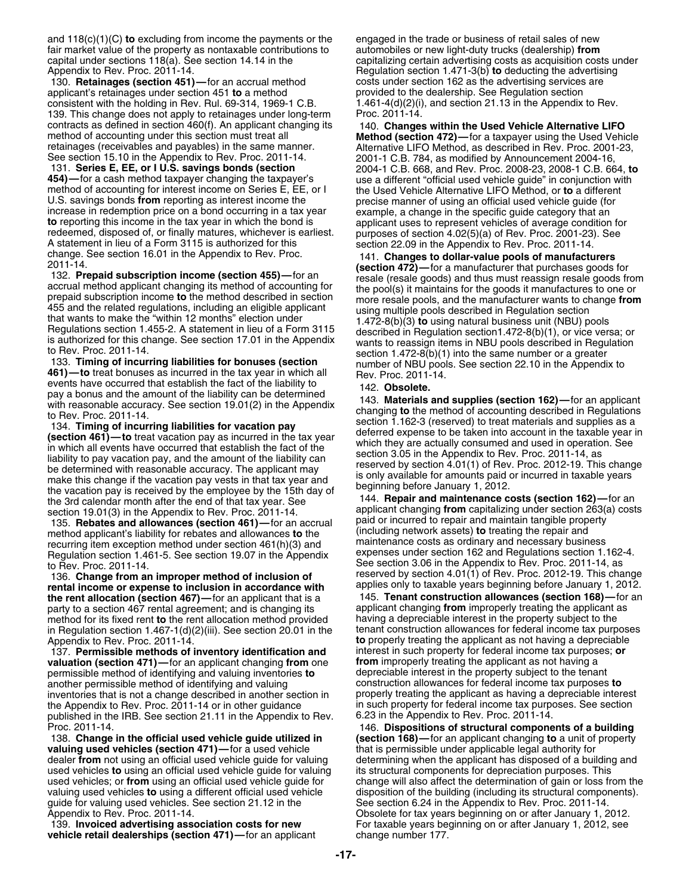and 118(c)(1)(C) **to** excluding from income the payments or the engaged in the trade or business of retail sales of new fair market value of the property as nontaxable contributions to automobiles or new light-duty trucks (dealership) **from** Appendix to Rev. Proc. 2011-14. Regulation section 1.471-3(b) **to** deducting the advertising

130. **Retainages (section 451)**—for an accrual method costs under section 162 as the advertising services are<br>applicant's retainages under section 451 **to** a method composition provided to the dealership. See Regulation se applicant's retainages under section 451 **to** a method provided to the dealership. See Regulation section consistent with the holding in Rev. Rul. 69-314, 1969-1 C.B. 1.461-4(d)(2)(i), and section 21.13 in the Appendix to consistent with the holding in Rev. Rul. 69-314, 1969-1 C.B. 139. This change does not apply to retainages under long-term Proc. 2011-14. contracts as defined in section 460(f). An applicant changing its and the Used Vehicle Alternative LIFO<br>method of accounting under this section must treat all<br>retainages (receivables and payables) in the same manner.<br>See s See section 15.10 in the Appendix to Rev. Proc. 2011-14. 2001-1 C.B. 784, as modified by Announcement 2004-16,<br>131. Series E, EE, or I U.S. savings bonds (section 2004-1 C.B. 668, and Rev. Proc. 2008-23, 2008-1 C.B. 66 131. **Series E, EE, or I U.S. savings bonds (section** 2004-1 C.B. 668, and Rev. Proc. 2008-23, 2008-1 C.B. 664, **to** 454)—for a cash method taxpayer changing the taxpayer's use a different "official used vehicle guide" in conjunction with method of accounting for interest income on Series E, EE, or I by the Used Vehicle Alternative LIFO U.S. savings bonds from reporting as interest income the precise manner of using an official used vehicle guide (for<br>increase in redemption price on a bond occurring in a tax year<br>to reporting this income in the tax year i

the vacation pay is received by the employee by the 15th day of<br>the 3rd calendar month after the end of that tax year. See 144. **Repair and maintenance costs (section 162)**—for an<br>section 19.01(3) in the Appendix to Rev. P

method applicant's liability for rebates and allowances **to** the **the controlled including network assets**) **to** treating the repair and **recurring item exception method under section 461(b)(3)** and maintenance costs as or recurring item exception method under section 461(h)(3) and maintenance costs as ordinary and necessary business<br>Requilation section 1,461-5, See section 19,07 in the Appendix expenses under section 162 and Regulations sec Regulation section 1.461-5. See section 19.07 in the Appendix to Rev. Proc. 2011-14.

136. Change from an improper method of inclusion of reserved by section 4.01(1) of Hev. Proc. 2012-19. This change<br>rental income or expense to inclusion in accordance with applies only to taxable years beginning before Jan party to a section 467 rental agreement; and is changing its applicant changing **from** improperly treating the applicant and method or its fixed rent **to** the rent allocation method provided having a depreciable interest i method for its fixed rent **to** the rent allocation method provided having a depreciable interest in the property subject to the in Regulation section 1.467-1(d) $(2)(iii)$ . See section 20.01 in the

137. **Permissible methods of inventory identification and** interest in such property for federal income tax purpos<br>**gluation (section 471)—**for an applicant changing from one **from** improperly treating the applicant as not **valuation (section 471)—** for an applicant changing **from** one **from** improperly treating the applicant as not having a permissible method of identifying and valuing inventories to depreciable interest in the property sub permissible method of identifying and valuing inventories **to** another permissible method of identifying and valuing construction allowances for federal income tax purposes **to**<br>inventories that is not a change described in another section in properly treating the applicant as having inventories that is not a change described in another section in the Appendix to Rev. Proc. 2011-14 or in other guidance in such property for federal income tax purposes. See section<br>published in the IRB. See section 21.11 in the Appendix to Rev. 6.23 in the Appendix to Rev. Proc. 2011published in the IRB. See section 21.11 in the Appendix to Rev. Proc. 2011-14.

**valuing used vehicles (section 471)—**for a used vehicle that is permissible under applicable legal authority for dealer **from** not using an official used vehicle guide for valuing determining when the applicant has disposed of a building and used vehicles **to** using an official used vehicle guide for valuing its structural components for depreciation purposes. This valuing used vehicles **to** using a different official used vehicle disposition of the building (including its structural components).<br>guide for valuing used vehicles. See section 21.12 in the See section 6.24 in the Append guide for valuing used vehicles. See section 21.12 in the Appendix to Rev. Proc. 2011-14. Obsolete for tax years beginning on or after January 1, 2012.

**vehicle retail dealerships (section 471)—for an applicant** 

capitalizing certain advertising costs as acquisition costs under

to reporting this income in the tax year in which the bond is<br>
redeemed, disposed of, or finally matures, whichever is earliest.<br>
A statement in lieu of a Form 3115 is authorized for this<br>
A statement in lieu of a Form 311 455 and the related regulations, including an eligible applicant<br>
that wants to make the "within 12 months" election under<br>
Regulations section 1.455-2. A statement in lieu of a Form 3115<br>
is authorized for this change. Se

events have occurred that establish the fact of the liability to<br>pay a bonus and the amount of the liability can be determined<br>with reasonable accuracy. See section 19.01(2) in the Appendix<br>to Rev. Proc. 2011-14.<br>134. **Tim** 

section 19.01(3) in the Appendix to Rev. Proc. 2011-14.<br>135. **Rebates and allowances (section 461)**—for an accrual paid or incurred to repair and maintain tangible property<br>method applicant's liability for rebates and allo See section 3.06 in the Appendix to Rev. Proc. 2011-14, as reserved by section 4.01(1) of Rev. Proc. 2012-19. This change

**the rent allocation (section 467)—** for an applicant that is a 145. **Tenant construction allowances (section 168)—** for an party to a section 467 rental agreement: and is changing its applicant changing **from** improperly Appendix to Rev. Proc. 2011-14. **to** properly treating the applicant as not having a depreciable

Proc. 2011-14. 146. **Dispositions of structural components of a building** (section 168)-for an applicant changing to a unit of property change will also affect the determination of gain or loss from the 139. **Invoiced advertising association costs for new** For taxable years beginning on or after January 1, 2012, see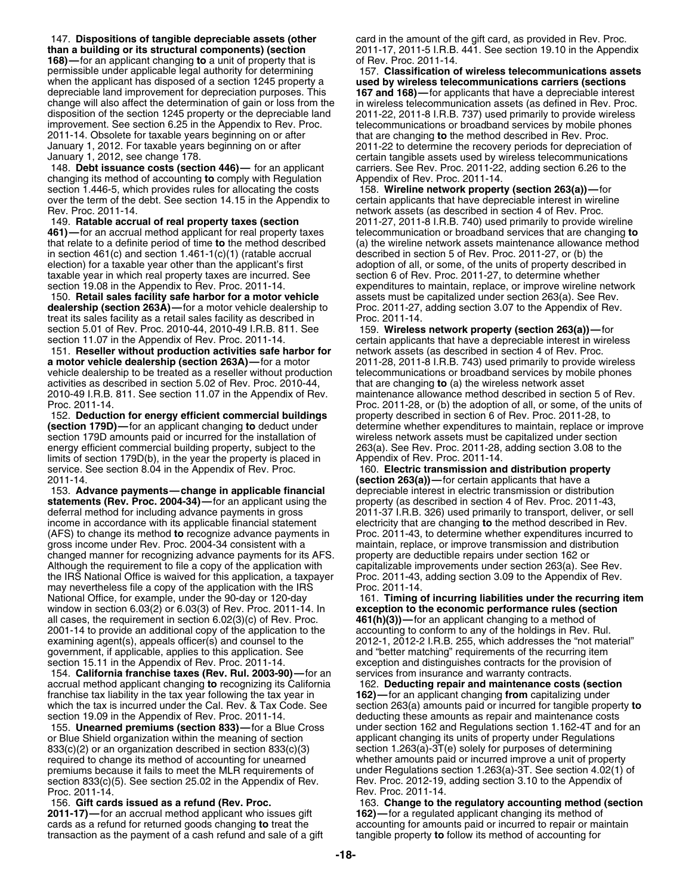147. **Dispositions of tangible depreciable assets (other** card in the amount of the gift card, as provided in Rev. Proc. **than a building or its structural components) (section** 2011-17, 2011-5 I.R.B. 441. See section 19.10 in the Appendix **168)**—for an applicant changing **to** a unit of property that is of Rev. Proc. 2011-14. **168)**—for an applicant changing to a unit of property that is permissible under applicable legal authority for determining 157. **Classification of wireless telecommunications assets** when the applicant has disposed of a section 1245 property a **used by wireless telecommunications carriers (sections**<br>depreciable land improvement for depreciation purposes. This **167 and 168)**—for applicants that have a d change will also affect the determination of gain or loss from the disposition of the section 1245 property or the depreciable land 2011-22, 2011-8 I.R.B. 737) used primarily to provide wireless improvement. See section 6.25 in the Appendix to Rev. Proc. telecommunications or broadband se 2011-14. Obsolete for taxable years beginning on or after that are changing **to** the method described in Rev. Proc.

148. **Debt issuance costs (section 446)**— for an applicant carriers. See Rev. Proc. 2011-22<br>changing its method of accounting to comply with Regulation Appendix of Rev. Proc. 2011-14. changing its method of accounting to comply with Regulation section 1.446-5, which provides rules for allocating the costs 158. **Wireline network property (section 263(a))—**for over the term of the debt. See section 14.15 in the Appendix to certain applicants that have depreciable interest in wireline

in section  $461(c)$  and section 1.461-1 $(c)(1)$  (ratable accrual election) for a taxable year other than the applicant's first adoption of all, or some, of the units of property described in taxable year in which real property taxes are incurred. See section 6 of Rev. Proc. 2011-27, to determine whether section 19.08 in the Appendix to Rev. Proc. 2011-14. expenditures to maintain, replace, or improve wireline network

150. **Retail sales facility safe harbor for a motor vehicle** assets must be capitalized under section 263(a). See Rev. dealership (section 263A)-for a motor vehicle dealership to treat its sales facility as a retail sales facility as described in Proc. 2011-14. section 5.01 of Rev. Proc. 2010-44, 2010-49 I.R.B. 811. See 159. **Wireless network property (section 263(a))**—for<br>section 11.07 in the Appendix of Rev. Proc. 2011-14. certain applicants that have a depreciable interest in

151. **Reseller without production activities safe harbor for** network assets (as described in section 4 of Rev. Proc. **a motor vehicle dealership (section 263A)—**for a motor 2011-28, 2011-28, 2011-8 I.R.B. 743) used primarily to provide wireless vehicle dealership to be treated as a reseller without production telecommunications or broadb vehicle dealership to be treated as a reseller without production activities as described in section 5.02 of Rev. Proc. 2010-44, that are changing **to** (a) the wireless network asset 2010-49 I.R.B. 811. See section 11.07 in the Appendix of Rev. maintenance allowance method described in section 5 of Rev.

**(section 179D)—for an applicant changing to deduct under** section 179D amounts paid or incurred for the installation of wireless network assets must be capitalized under section<br>energy efficient commercial building property, subject to the 263(a). See Rev. Proc. 2011-28, adding s energy efficient commercial building property, subject to the 263(a). See Rev. Proc. 2011-28, and is unit sect<br>108 limits of section 179D(b), in the year the property is placed in Appendix of Rev. Proc. 2011-14. limits of section 179D(b), in the year the property is placed in service. See section 8.04 in the Appendix of Rev. Proc. 160. **Electric transmission and distribution property** 2011-14. **(section 263(a))—**for certain applicants that have a

153. **Advance payments—change in applicable financial** depreciable interest in electric transmission or distribution statements (Rev. Proc. 2004-34)—for an applicant using the deferral method for including advance payments in gross 2011-37 I.R.B. 326) used primarily to transport, deliver, or sell income in accordance with its applicable financial statement electricity that are changing **to** the method described in Rev. (AFS) to change its method **to** recognize advance payments in gross income under Rev. Proc. 2004-34 consistent with a maintain, replace, or improve transmission and distribution<br>changed manner for recognizing advance payments for its AFS. property are deductible repairs under section changed manner for recognizing advance payments for its AFS. property are deductible repairs under section 162 or<br>Although the requirement to file a copy of the application with capitalizable improvements under section 263 Although the requirement to file a copy of the application with capitalizable improvements under section 263(a). See Rev.<br>the IRS National Office is waived for this application, a taxpayer Proc. 2011-43, adding section 3.0 the IRS National Office is waived for this application, a taxpayer may nevertheless file a copy of the application with the IRS Proc. 2011-14.<br>National Office, for example, under the 90-day or 120-day 161. Timing of incurring liabilities under the recurring item National Office, for example, under the 90-day or 120-day window in section 6.03(2) or 6.03(3) of Rev. Proc. 2011-14. In **exception to the economic performance rules (section** all cases, the requirement in section 6.02(3)(c) of Rev. Proc. 461(h)(3))—for an applicant changing to a all cases, the requirement in section 6.02(3)(c) of Rev. Proc. **461(h)(3))**—for an applicant changing to a method of<br>2001-14 to provide an additional copy of the application to the accounting to conform to any of the holdi 2001-14 to provide an additional copy of the application to the examining agent(s), appeals officer(s) and counsel to the 2012-1, 2012-2 I.R.B. 255, which addresses the "not material" government, if applicable, applies to this application. See and "better matching" requirements of the recurring item<br>section 15.11 in the Appendix of Rev. Proc. 2011-14. exception and distinguishes contracts for the provis

154. **California franchise taxes (Rev. Rul. 2003-90)—**for an services from insurance and warranty contracts. accrual method applicant changing **to** recognizing its California 162. **Deducting repair and maintenance costs (section** franchise tax liability in the tax year following the tax year in which the tax is incurred under the Cal. Rev. & Tax Code. See section 263(a) amounts paid or incurred for tangible property **to**<br>section 19.09 in the Appendix of Rev. Proc. 2011-14. deducting these amounts as repair and ma

or Blue Shield organization within the meaning of section applicant changing its units of property under Regulations  $833(c)(2)$  or an organization described in section  $833(c)(3)$  section  $1.263(a)$ -3T(e) solely for purposes of determining required to change its method of accounting for unearned whether amounts paid or incurred improve a unit of property<br>premiums because it fails to meet the MLR requirements of under Regulations section 1.263(a)-3T. See sect section 833(c)(5). See section 25.02 in the Appendix of Rev.<br>Proc. 2011-14.

**2011-17)—**for an accrual method applicant who issues gift **162)—**for a regulated applicant changing its method of cards as a refund for returned goods changing **to** treat the accounting for amounts paid or incurred to repair or maintain transaction as the payment of a cash refund and sale of a gift

**167 and 168)**—for applicants that have a depreciable interest in wireless telecommunication assets (as defined in Rev. Proc. telecommunications or broadband services by mobile phones 2011-22 to determine the recovery periods for depreciation of January 1, 2012, see change 178.<br>148. Debt issuance costs (section 446)— for an applicant carriers. See Rev. Proc. 2011-22, adding section 6.26 to the

network assets (as described in section 4 of Rev. Proc. 149. **Ratable accrual of real property taxes (section** 2011-27, 2011-8 I.R.B. 740) used primarily to provide wireline **461)—**for an accrual method applicant for real property taxes telecommunication or broadband services that are changing **to** that relate to a definite period of time **to** the method described (a) the wireline network assets maintenance allowance method in section 461(c) and section 1.461-1(c)(1) (ratable accrual described in section 5 of Rev. Pr

certain applicants that have a depreciable interest in wireless Proc. 2011-14.<br>152. Deduction for energy efficient commercial buildings property described in section 6 of Rev. Proc. 2011-28, to 152. **Deduction for energy efficient commercial buildings** property described in section 6 of Rev. Proc. 2011-28, to

exception and distinguishes contracts for the provision of

section 19.09 in the Appendix of Rev. Proc. 2011-14. **Follocate and the deducting these amounts as repair and maintenance costs**<br>155. **Unearned premiums (section 833)—**for a Blue Cross and the section 162 and Regulations s under section 162 and Regulations section 1.162-4T and for an under Regulations section 1.263(a)-3T. See section 4.02(1) of Rev. Proc. 2012-19, adding section 3.10 to the Appendix of Proc. 2011-14. Rev. Proc. 2011-14.

156. **Gift cards issued as a refund (Rev. Proc.** 163. **Change to the regulatory accounting method (section**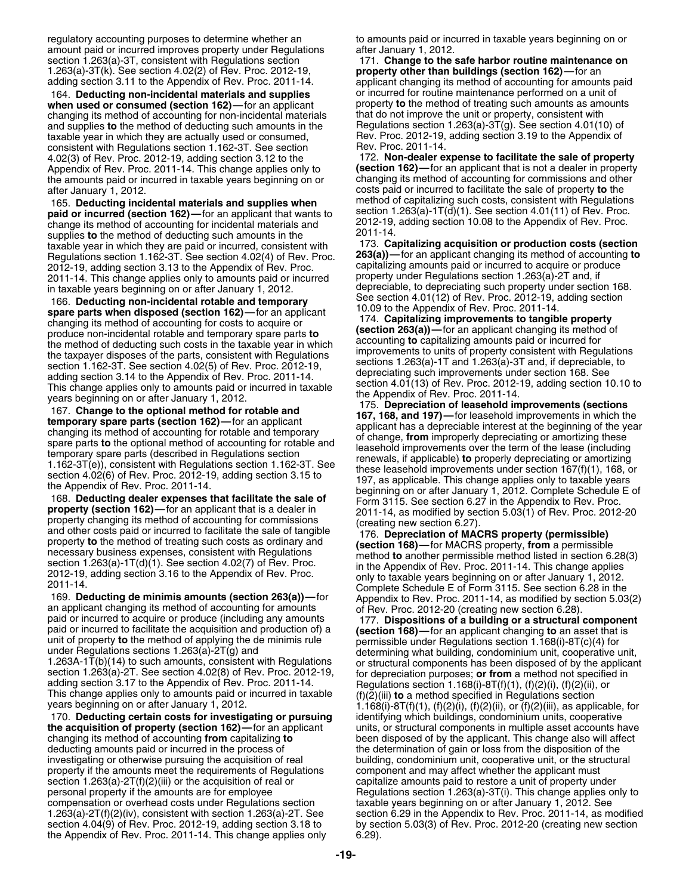regulatory accounting purposes to determine whether an to amounts paid or incurred in taxable years beginning on or amount paid or incurred improves property under Regulations after January 1, 2012.<br>section 1.263(a)-3T, consistent with Regulations section 1.263(a)-3T, consistent with Regulations section 1.263(a)-3T(k). See section 4.02(2) of Rev. Proc. 2012-19.

**when used or consumed (section 162)**—for an applicant property **to** the method of treating such amounts as ame changing its method of accounting for non-incidental materials that do not improve the unit or property, consi changing its method of accounting for non-incidental materials and supplies to the method of deducting such amounts in the Regulations section 1.263(a)-3T(g). See section 4.01(10) of<br>taxable year in which they are actually used or consumed,<br>consistent with Begulations section 1.162-3T consistent with Regulations section 1.162-3T. See section Rev. Proc. 2011-14.<br>4.02(3) of Rev. Proc. 2012-19, adding section 3.12 to the 172. Non-dealer expense to facilitate the sale of property 4.02(3) of Rev. Proc. 2012-19, adding section 3.12 to the Appendix of Rev. Proc. 2011-14. This change applies only to the amounts paid or incurred in taxable years beginning on or after January 1, 2012.

165. **Deducting incidental materials and supplies when** method of capitalizing such costs, consistent with Regulations 169.<br>**165. Deducting incidental materials and supplies when** section 1.263(a)-1T(d)(1). See section 4.0 **paid or incurred (section 162)**—for an applicant that wants to<br>change its method of accounting for incidental materials and<br>supplies to the method of deducting such amounts in the<br>taxable year in which they are paid or i taxable year in which they are paid or incurred, consistent with **173. Capitalizing acquisition or production costs (section**<br>Requisitions section 1 162-3T, See section 4 02(4) of Rey, Proc. **263(a))**—for an applicant chan Regulations section 1.162-3T. See section 4.02(4) of Rev. Proc. **263(a))—**for an applicant changing its method of accounting **to** 2012-19, adding section 3.13 to the Appendix of Rev. Proc. Capitalizing amounts paid or incurred to acquire or proc<br>2011-14, This change applies only to amounts paid or incurred property under Regulations section 1.263(a)-2011-14. This change applies only to amounts paid or incurred property under Regulations section 1.263(a)-2T and, if<br>in taxable vears beginning on or after January 1, 2012

169. **Deducting de minimis amounts (section 263(a))**—for Appendix to Rev. Proc. 2011-14, as modified by section 5.03(2) an applicant changing its method of accounting for amounts paid or incurred to acquire or produce (in

170. **Deducting certain costs for investigating or pursuing** identifying which buildings, condominium units, cooperative

**the acquisition of property (section 162)—**for an applicant units, or structural components in multiple asset accounts have changing its method of accounting **from** capitalizing **to** been disposed of by the applicant. This change also will affect deducting amounts paid or incurred in the process of the determination of gain or loss from the disposition of the investigating or otherwise pursuing the acquisition of real building, condominium unit, cooperative unit, or the structural property if the amounts meet the requirements of Regulations component and may affect whether the applicant must section 1.263(a)-2T(f)(2)(iii) or the acquisition of real or capitalize amounts paid to restore a unit of property under personal property if the amounts are for employee Regulations section 1.263(a)-3T(i). This change applies only to<br>compensation or overhead costs under Regulations section taxable years beginning on or after January 1, 2012 section 4.04(9) of Rev. Proc. 2012-19, adding section 3.18 to by section 5.03(3) of Rev. Proc. 2012-20 (creating new section the Appendix of Rev. Proc. 2011-14. This change applies only 6.29).

171. Change to the safe harbor routine maintenance on property other than buildings (section 162)—for an adding section 3.11 to the Appendix of Rev. Proc. 2011-14. applicant changing its method of accounting for amounts paid 164. **Deducting non-incidental materials and supplies** or incurred for routine maintenance performed on a unit of

**(section 162)**—for an applicant that is not a dealer in property changing its method of accounting for commissions and other costs paid or incurred to facilitate the sale of property **to** the method of capitalizing such costs, consistent with Regulations

in taxable years beginning on or an efter January 1, 2012.<br>
This and democration on a first diamonal 163, begins the search 4.01(12) of Rev. Proc. 2012-19, adding section<br>
space section 4.01(12) of Rev. Proc. 2012-19, add

unit of property **to** the method of applying the de minimis rule<br>
under Regulations section 1.168(i)-8T(c)(4) for<br>
under Regulations sections 1.263(a)-2T(g) and<br>
1.263A-1T(b)(14) to such amounts, consistent with Regulatio taxable years beginning on or after January 1, 2012. See 1.263(a)-2T(f)(2)(iv), consistent with section 1.263(a)-2T. See section 6.29 in the Appendix to Rev. Proc. 2011-14, as modified